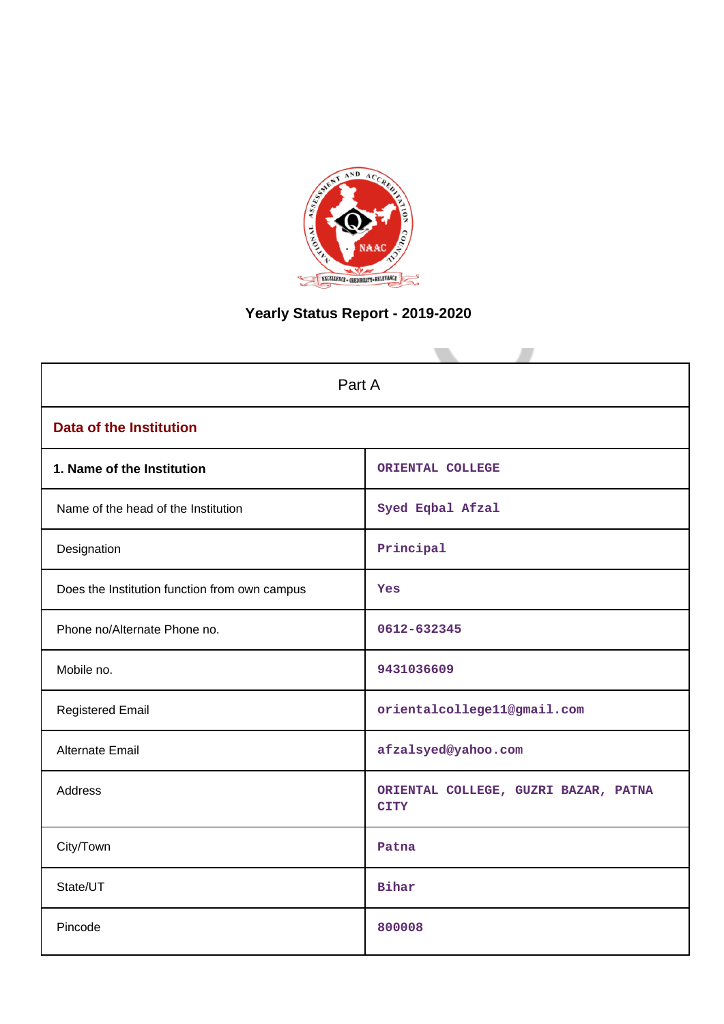

# **Yearly Status Report - 2019-2020**

| Part A                                        |                                                     |  |  |  |  |  |
|-----------------------------------------------|-----------------------------------------------------|--|--|--|--|--|
| <b>Data of the Institution</b>                |                                                     |  |  |  |  |  |
| 1. Name of the Institution                    | ORIENTAL COLLEGE                                    |  |  |  |  |  |
| Name of the head of the Institution           | Syed Eqbal Afzal                                    |  |  |  |  |  |
| Designation                                   | Principal                                           |  |  |  |  |  |
| Does the Institution function from own campus | Yes                                                 |  |  |  |  |  |
| Phone no/Alternate Phone no.                  | 0612-632345                                         |  |  |  |  |  |
| Mobile no.                                    | 9431036609                                          |  |  |  |  |  |
| <b>Registered Email</b>                       | orientalcollege11@gmail.com                         |  |  |  |  |  |
| <b>Alternate Email</b>                        | afzalsyed@yahoo.com                                 |  |  |  |  |  |
| <b>Address</b>                                | ORIENTAL COLLEGE, GUZRI BAZAR, PATNA<br><b>CITY</b> |  |  |  |  |  |
| City/Town                                     | Patna                                               |  |  |  |  |  |
| State/UT                                      | <b>Bihar</b>                                        |  |  |  |  |  |
| Pincode                                       | 800008                                              |  |  |  |  |  |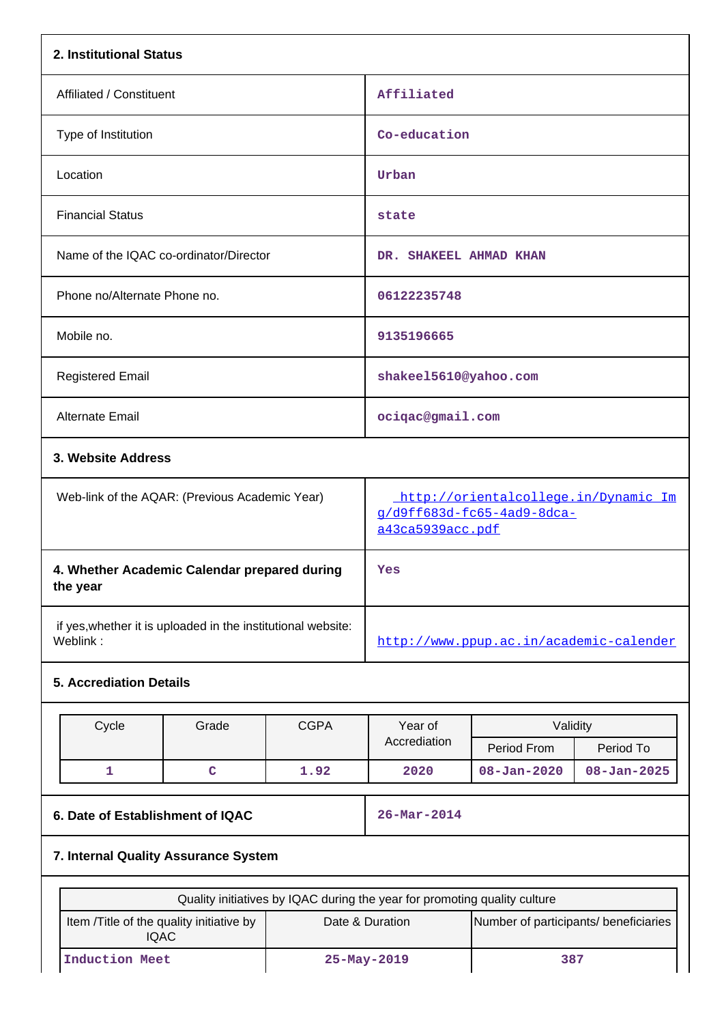| 2. Institutional Status                                                  |                                                |             |                                                                                                                                       |                          |                   |  |
|--------------------------------------------------------------------------|------------------------------------------------|-------------|---------------------------------------------------------------------------------------------------------------------------------------|--------------------------|-------------------|--|
| Affiliated / Constituent                                                 |                                                |             | Affiliated                                                                                                                            |                          |                   |  |
| Type of Institution                                                      |                                                |             | Co-education                                                                                                                          |                          |                   |  |
| Location                                                                 |                                                |             | Urban                                                                                                                                 |                          |                   |  |
| <b>Financial Status</b>                                                  |                                                |             | state                                                                                                                                 |                          |                   |  |
| Name of the IQAC co-ordinator/Director                                   |                                                |             | DR. SHAKEEL AHMAD KHAN                                                                                                                |                          |                   |  |
| Phone no/Alternate Phone no.                                             |                                                |             | 06122235748                                                                                                                           |                          |                   |  |
| Mobile no.                                                               |                                                |             | 9135196665                                                                                                                            |                          |                   |  |
| <b>Registered Email</b>                                                  |                                                |             | shakee15610@yahoo.com                                                                                                                 |                          |                   |  |
| <b>Alternate Email</b>                                                   |                                                |             | ociqac@gmail.com                                                                                                                      |                          |                   |  |
|                                                                          | 3. Website Address                             |             |                                                                                                                                       |                          |                   |  |
|                                                                          | Web-link of the AQAR: (Previous Academic Year) |             | http://orientalcollege.in/Dynamic_Im<br>g/d9ff683d-fc65-4ad9-8dca-<br>a43ca5939acc.pdf                                                |                          |                   |  |
| the year                                                                 | 4. Whether Academic Calendar prepared during   |             | Yes                                                                                                                                   |                          |                   |  |
| if yes, whether it is uploaded in the institutional website:<br>Weblink: |                                                |             | http://www.ppup.ac.in/academic-calender                                                                                               |                          |                   |  |
| <b>5. Accrediation Details</b>                                           |                                                |             |                                                                                                                                       |                          |                   |  |
| Cycle                                                                    | Grade                                          | <b>CGPA</b> | Year of                                                                                                                               | Validity                 |                   |  |
|                                                                          |                                                |             | Accrediation                                                                                                                          | Period From              | Period To         |  |
| 1                                                                        | $\mathbf C$                                    | 1.92        | 2020                                                                                                                                  | $08 - Jan - 2020$        | $08 - Jan - 2025$ |  |
|                                                                          | 6. Date of Establishment of IQAC               |             |                                                                                                                                       | $26 - \text{Mar} - 2014$ |                   |  |
| 7. Internal Quality Assurance System                                     |                                                |             |                                                                                                                                       |                          |                   |  |
|                                                                          |                                                |             |                                                                                                                                       |                          |                   |  |
| <b>IQAC</b>                                                              | Item /Title of the quality initiative by       |             | Quality initiatives by IQAC during the year for promoting quality culture<br>Date & Duration<br>Number of participants/ beneficiaries |                          |                   |  |
|                                                                          | <b>Induction Meet</b><br>25-May-2019           |             |                                                                                                                                       | 387                      |                   |  |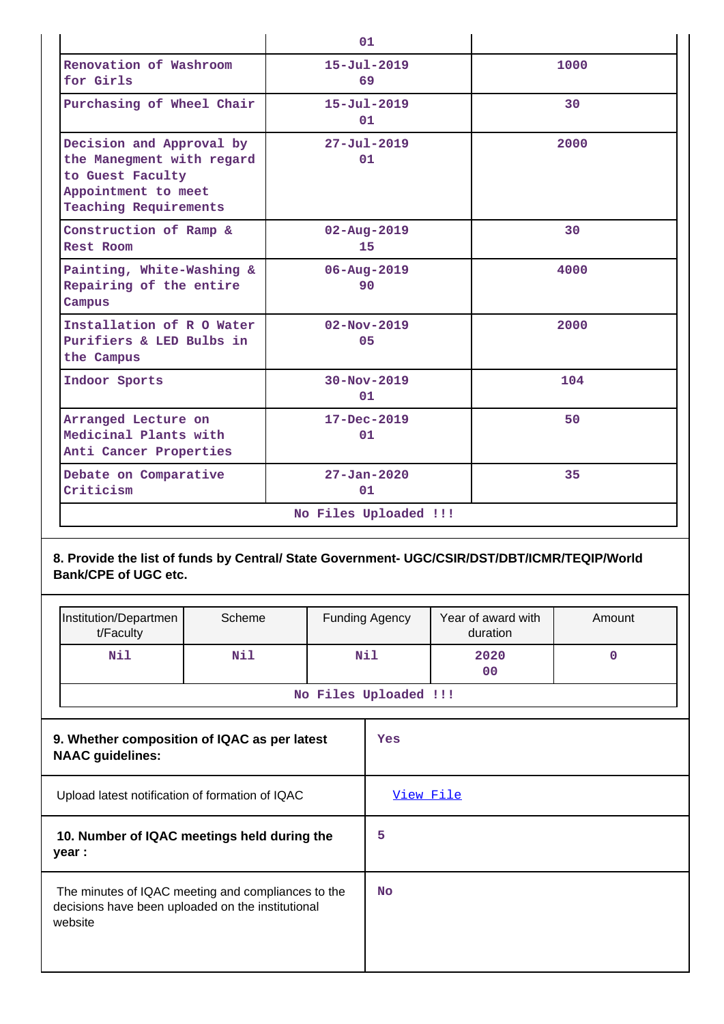|                                                                                                                                  | 01                      |      |
|----------------------------------------------------------------------------------------------------------------------------------|-------------------------|------|
| Renovation of Washroom<br>for Girls                                                                                              | $15 - Ju1 - 2019$<br>69 | 1000 |
| Purchasing of Wheel Chair                                                                                                        | $15 - Ju1 - 2019$<br>01 | 30   |
| Decision and Approval by<br>the Manegment with regard<br>to Guest Faculty<br>Appointment to meet<br><b>Teaching Requirements</b> | $27 - Ju1 - 2019$<br>01 | 2000 |
| Construction of Ramp &<br>Rest Room                                                                                              | $02 - Aug - 2019$<br>15 | 30   |
| Painting, White-Washing &<br>Repairing of the entire<br>Campus                                                                   | $06 - Aug - 2019$<br>90 | 4000 |
| Installation of R O Water<br>Purifiers & LED Bulbs in<br>the Campus                                                              | $02 - Nov - 2019$<br>05 | 2000 |
| Indoor Sports                                                                                                                    | $30 - Nov - 2019$<br>01 | 104  |
| Arranged Lecture on<br>Medicinal Plants with<br>Anti Cancer Properties                                                           | $17 - Dec - 2019$<br>01 | 50   |
| Debate on Comparative<br>Criticism                                                                                               | $27 - Jan - 2020$<br>01 | 35   |
|                                                                                                                                  | No Files Uploaded !!!   |      |

# **8. Provide the list of funds by Central/ State Government- UGC/CSIR/DST/DBT/ICMR/TEQIP/World Bank/CPE of UGC etc.**

|                                                                         | Institution/Departmen<br>t/Faculty                                                                                 | Scheme |     | <b>Funding Agency</b> | Year of award with<br>duration | Amount      |
|-------------------------------------------------------------------------|--------------------------------------------------------------------------------------------------------------------|--------|-----|-----------------------|--------------------------------|-------------|
|                                                                         | Nil                                                                                                                | Nil    | Nil |                       | 2020<br>0 <sup>0</sup>         | $\mathbf 0$ |
|                                                                         |                                                                                                                    |        |     | No Files Uploaded !!! |                                |             |
| 9. Whether composition of IQAC as per latest<br><b>NAAC</b> guidelines: |                                                                                                                    |        | Yes |                       |                                |             |
|                                                                         | Upload latest notification of formation of IQAC                                                                    |        |     | View File             |                                |             |
|                                                                         | 10. Number of IQAC meetings held during the<br>year :                                                              |        |     | 5                     |                                |             |
|                                                                         | The minutes of IQAC meeting and compliances to the<br>decisions have been uploaded on the institutional<br>website |        |     | <b>No</b>             |                                |             |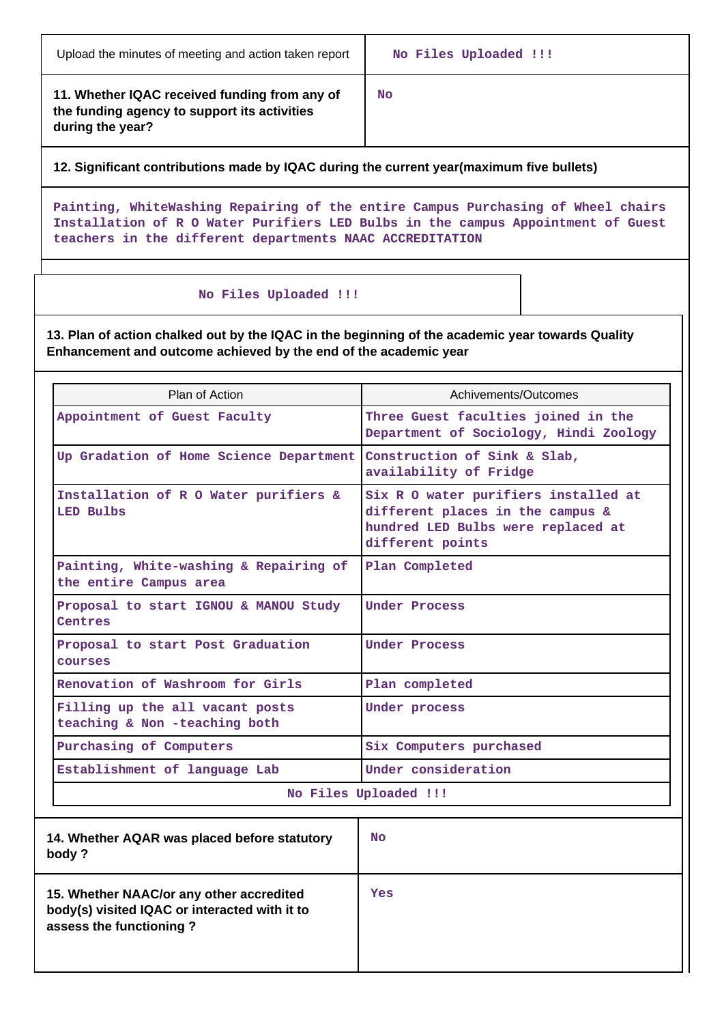| Upload the minutes of meeting and action taken report |  |
|-------------------------------------------------------|--|
|-------------------------------------------------------|--|

**11. Whether IQAC received funding from any of the funding agency to support its activities during the year?**

**No**

# **12. Significant contributions made by IQAC during the current year(maximum five bullets)**

**Painting, WhiteWashing Repairing of the entire Campus Purchasing of Wheel chairs Installation of R O Water Purifiers LED Bulbs in the campus Appointment of Guest teachers in the different departments NAAC ACCREDITATION**

## **No Files Uploaded !!!**

**13. Plan of action chalked out by the IQAC in the beginning of the academic year towards Quality Enhancement and outcome achieved by the end of the academic year**

| Plan of Action                                                   | Achivements/Outcomes                                                                                                               |  |  |  |
|------------------------------------------------------------------|------------------------------------------------------------------------------------------------------------------------------------|--|--|--|
| Appointment of Guest Faculty                                     | Three Guest faculties joined in the<br>Department of Sociology, Hindi Zoology                                                      |  |  |  |
| Up Gradation of Home Science Department                          | Construction of Sink & Slab,<br>availability of Fridge                                                                             |  |  |  |
| Installation of R O Water purifiers &<br>LED Bulbs               | Six R O water purifiers installed at<br>different places in the campus &<br>hundred LED Bulbs were replaced at<br>different points |  |  |  |
| Painting, White-washing & Repairing of<br>the entire Campus area | Plan Completed                                                                                                                     |  |  |  |
| Proposal to start IGNOU & MANOU Study<br>Centres                 | Under Process                                                                                                                      |  |  |  |
| Proposal to start Post Graduation<br>courses                     | <b>Under Process</b>                                                                                                               |  |  |  |
| Renovation of Washroom for Girls                                 | Plan completed                                                                                                                     |  |  |  |
| Filling up the all vacant posts<br>teaching & Non -teaching both | Under process                                                                                                                      |  |  |  |
| Purchasing of Computers                                          | Six Computers purchased                                                                                                            |  |  |  |
| Establishment of language Lab                                    | Under consideration                                                                                                                |  |  |  |
|                                                                  | No Files Uploaded !!!                                                                                                              |  |  |  |

| 14. Whether AQAR was placed before statutory<br>body?                                                                | <b>No</b> |
|----------------------------------------------------------------------------------------------------------------------|-----------|
| 15. Whether NAAC/or any other accredited<br>body(s) visited IQAC or interacted with it to<br>assess the functioning? | Yes       |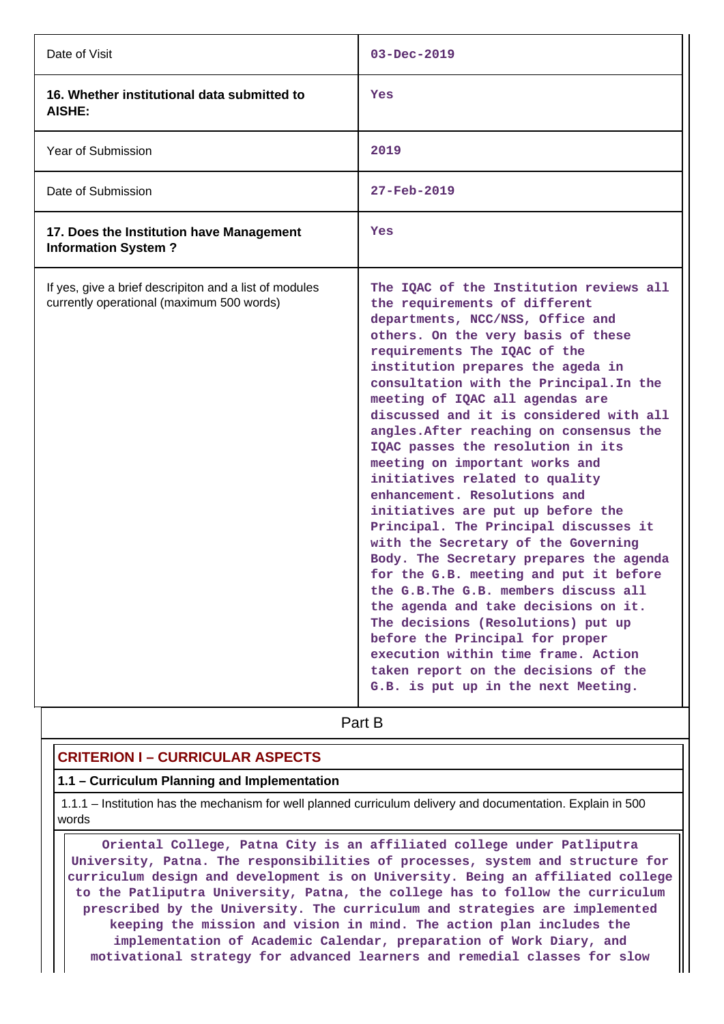| Date of Visit                                                                                       | $03 - Dec - 2019$                                                                                                                                                                                                                                                                                                                                                                                                                                                                                                                                                                                                                                                                                                                                                                                                                                                                                                                                                                                                              |  |  |  |
|-----------------------------------------------------------------------------------------------------|--------------------------------------------------------------------------------------------------------------------------------------------------------------------------------------------------------------------------------------------------------------------------------------------------------------------------------------------------------------------------------------------------------------------------------------------------------------------------------------------------------------------------------------------------------------------------------------------------------------------------------------------------------------------------------------------------------------------------------------------------------------------------------------------------------------------------------------------------------------------------------------------------------------------------------------------------------------------------------------------------------------------------------|--|--|--|
| 16. Whether institutional data submitted to<br>AISHE:                                               | Yes                                                                                                                                                                                                                                                                                                                                                                                                                                                                                                                                                                                                                                                                                                                                                                                                                                                                                                                                                                                                                            |  |  |  |
| Year of Submission                                                                                  | 2019                                                                                                                                                                                                                                                                                                                                                                                                                                                                                                                                                                                                                                                                                                                                                                                                                                                                                                                                                                                                                           |  |  |  |
| Date of Submission                                                                                  | 27-Feb-2019                                                                                                                                                                                                                                                                                                                                                                                                                                                                                                                                                                                                                                                                                                                                                                                                                                                                                                                                                                                                                    |  |  |  |
| 17. Does the Institution have Management<br><b>Information System?</b>                              | Yes                                                                                                                                                                                                                                                                                                                                                                                                                                                                                                                                                                                                                                                                                                                                                                                                                                                                                                                                                                                                                            |  |  |  |
| If yes, give a brief descripiton and a list of modules<br>currently operational (maximum 500 words) | The IQAC of the Institution reviews all<br>the requirements of different<br>departments, NCC/NSS, Office and<br>others. On the very basis of these<br>requirements The IQAC of the<br>institution prepares the ageda in<br>consultation with the Principal. In the<br>meeting of IQAC all agendas are<br>discussed and it is considered with all<br>angles. After reaching on consensus the<br>IQAC passes the resolution in its<br>meeting on important works and<br>initiatives related to quality<br>enhancement. Resolutions and<br>initiatives are put up before the<br>Principal. The Principal discusses it<br>with the Secretary of the Governing<br>Body. The Secretary prepares the agenda<br>for the G.B. meeting and put it before<br>the G.B. The G.B. members discuss all<br>the agenda and take decisions on it.<br>The decisions (Resolutions) put up<br>before the Principal for proper<br>execution within time frame. Action<br>taken report on the decisions of the<br>G.B. is put up in the next Meeting. |  |  |  |

# **Part B**

# **CRITERION I – CURRICULAR ASPECTS**

### **1.1 – Curriculum Planning and Implementation**

 1.1.1 – Institution has the mechanism for well planned curriculum delivery and documentation. Explain in 500 words

 **Oriental College, Patna City is an affiliated college under Patliputra University, Patna. The responsibilities of processes, system and structure for curriculum design and development is on University. Being an affiliated college to the Patliputra University, Patna, the college has to follow the curriculum prescribed by the University. The curriculum and strategies are implemented keeping the mission and vision in mind. The action plan includes the implementation of Academic Calendar, preparation of Work Diary, and motivational strategy for advanced learners and remedial classes for slow**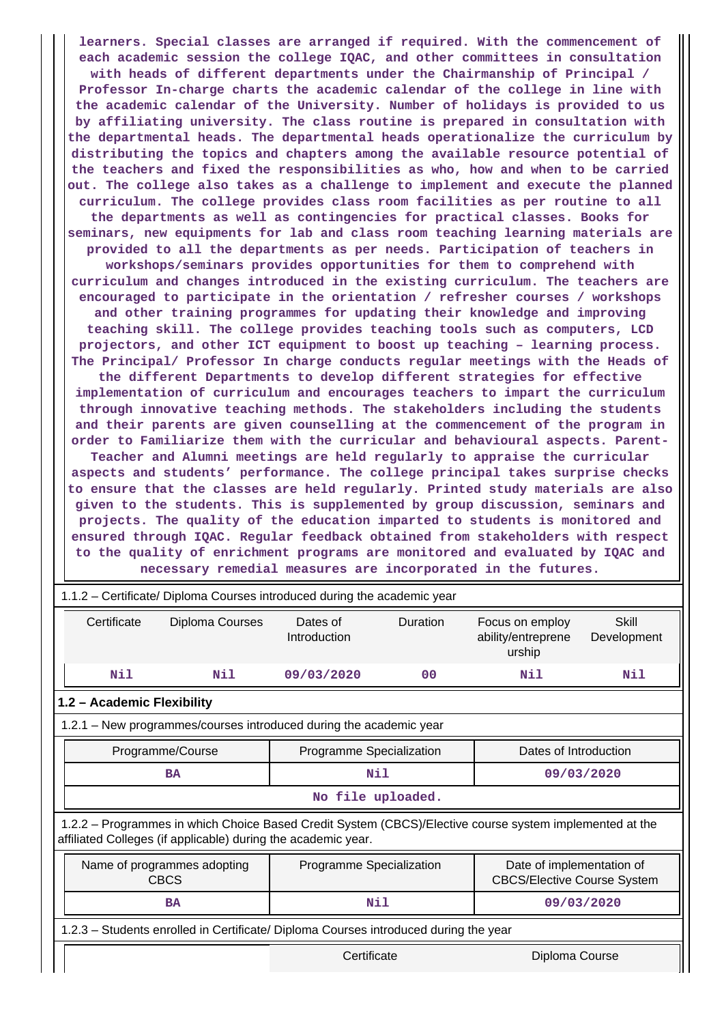**learners. Special classes are arranged if required. With the commencement of each academic session the college IQAC, and other committees in consultation with heads of different departments under the Chairmanship of Principal / Professor In-charge charts the academic calendar of the college in line with the academic calendar of the University. Number of holidays is provided to us by affiliating university. The class routine is prepared in consultation with the departmental heads. The departmental heads operationalize the curriculum by distributing the topics and chapters among the available resource potential of the teachers and fixed the responsibilities as who, how and when to be carried out. The college also takes as a challenge to implement and execute the planned curriculum. The college provides class room facilities as per routine to all the departments as well as contingencies for practical classes. Books for seminars, new equipments for lab and class room teaching learning materials are provided to all the departments as per needs. Participation of teachers in workshops/seminars provides opportunities for them to comprehend with curriculum and changes introduced in the existing curriculum. The teachers are encouraged to participate in the orientation / refresher courses / workshops and other training programmes for updating their knowledge and improving teaching skill. The college provides teaching tools such as computers, LCD projectors, and other ICT equipment to boost up teaching – learning process. The Principal/ Professor In charge conducts regular meetings with the Heads of the different Departments to develop different strategies for effective implementation of curriculum and encourages teachers to impart the curriculum through innovative teaching methods. The stakeholders including the students and their parents are given counselling at the commencement of the program in order to Familiarize them with the curricular and behavioural aspects. Parent-Teacher and Alumni meetings are held regularly to appraise the curricular aspects and students' performance. The college principal takes surprise checks to ensure that the classes are held regularly. Printed study materials are also given to the students. This is supplemented by group discussion, seminars and projects. The quality of the education imparted to students is monitored and ensured through IQAC. Regular feedback obtained from stakeholders with respect to the quality of enrichment programs are monitored and evaluated by IQAC and necessary remedial measures are incorporated in the futures.**

|                                                                       | 1.1.2 – Certificate/ Diploma Courses introduced during the academic year                                                                                                 |                                                                                      |                          |                |                                                 |                      |  |  |
|-----------------------------------------------------------------------|--------------------------------------------------------------------------------------------------------------------------------------------------------------------------|--------------------------------------------------------------------------------------|--------------------------|----------------|-------------------------------------------------|----------------------|--|--|
|                                                                       | Certificate                                                                                                                                                              | Diploma Courses                                                                      | Dates of<br>Introduction | Duration       | Focus on employ<br>ability/entreprene<br>urship | Skill<br>Development |  |  |
|                                                                       | Nil                                                                                                                                                                      | Nil                                                                                  | 09/03/2020               | 0 <sub>0</sub> | Nil                                             | Nil                  |  |  |
|                                                                       | 1.2 - Academic Flexibility                                                                                                                                               |                                                                                      |                          |                |                                                 |                      |  |  |
|                                                                       | 1.2.1 – New programmes/courses introduced during the academic year                                                                                                       |                                                                                      |                          |                |                                                 |                      |  |  |
| Dates of Introduction<br>Programme Specialization<br>Programme/Course |                                                                                                                                                                          |                                                                                      |                          |                |                                                 |                      |  |  |
|                                                                       |                                                                                                                                                                          | Nil<br>BA                                                                            |                          |                | 09/03/2020                                      |                      |  |  |
|                                                                       | No file uploaded.                                                                                                                                                        |                                                                                      |                          |                |                                                 |                      |  |  |
|                                                                       | 1.2.2 - Programmes in which Choice Based Credit System (CBCS)/Elective course system implemented at the<br>affiliated Colleges (if applicable) during the academic year. |                                                                                      |                          |                |                                                 |                      |  |  |
|                                                                       | Name of programmes adopting<br>Programme Specialization<br>Date of implementation of<br><b>CBCS</b><br><b>CBCS/Elective Course System</b>                                |                                                                                      |                          |                |                                                 |                      |  |  |
|                                                                       |                                                                                                                                                                          | <b>BA</b>                                                                            | Nil<br>09/03/2020        |                |                                                 |                      |  |  |
|                                                                       |                                                                                                                                                                          | 1.2.3 - Students enrolled in Certificate/ Diploma Courses introduced during the year |                          |                |                                                 |                      |  |  |
|                                                                       | Certificate<br>Diploma Course                                                                                                                                            |                                                                                      |                          |                |                                                 |                      |  |  |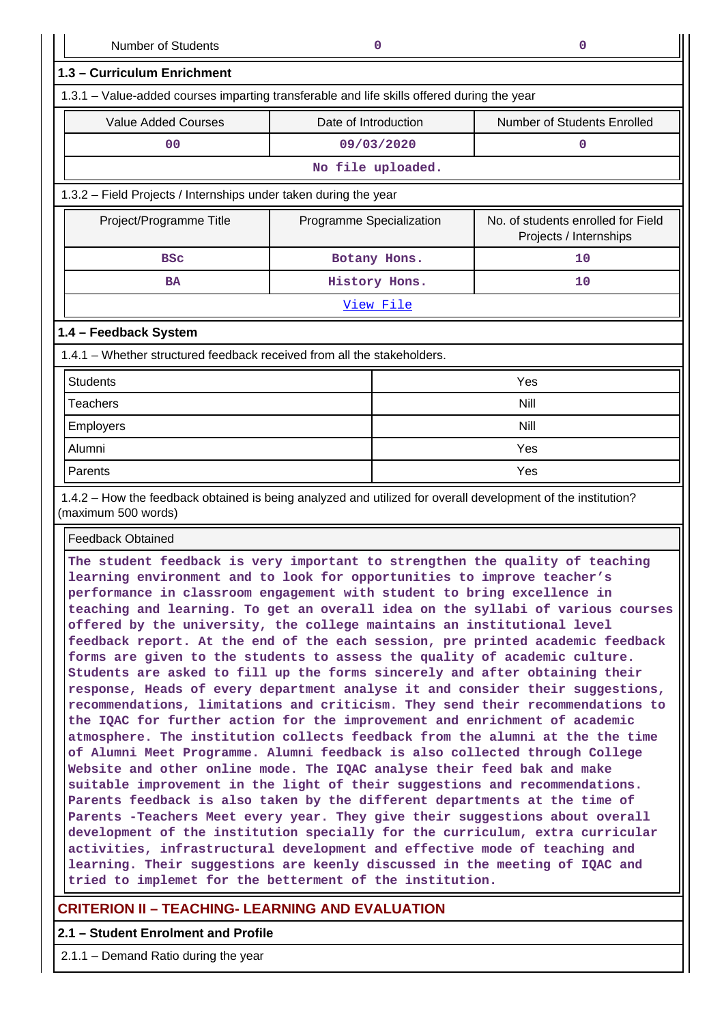Number of Students **0 0**

| 1.3 - Curriculum Enrichment                                                                                                                                                                                                        |                          |                   |                                                              |  |  |
|------------------------------------------------------------------------------------------------------------------------------------------------------------------------------------------------------------------------------------|--------------------------|-------------------|--------------------------------------------------------------|--|--|
| 1.3.1 – Value-added courses imparting transferable and life skills offered during the year                                                                                                                                         |                          |                   |                                                              |  |  |
| <b>Value Added Courses</b>                                                                                                                                                                                                         | Date of Introduction     |                   | Number of Students Enrolled                                  |  |  |
| 0 <sub>0</sub>                                                                                                                                                                                                                     |                          | 09/03/2020        | $\Omega$                                                     |  |  |
|                                                                                                                                                                                                                                    |                          | No file uploaded. |                                                              |  |  |
| 1.3.2 - Field Projects / Internships under taken during the year                                                                                                                                                                   |                          |                   |                                                              |  |  |
| Project/Programme Title                                                                                                                                                                                                            | Programme Specialization |                   | No. of students enrolled for Field<br>Projects / Internships |  |  |
| <b>BSC</b>                                                                                                                                                                                                                         |                          | Botany Hons.      | 10                                                           |  |  |
| <b>BA</b>                                                                                                                                                                                                                          |                          | History Hons.     | 10                                                           |  |  |
|                                                                                                                                                                                                                                    |                          | View File         |                                                              |  |  |
| 1.4 - Feedback System                                                                                                                                                                                                              |                          |                   |                                                              |  |  |
| 1.4.1 - Whether structured feedback received from all the stakeholders.                                                                                                                                                            |                          |                   |                                                              |  |  |
| <b>Students</b>                                                                                                                                                                                                                    |                          |                   | Yes                                                          |  |  |
| <b>Teachers</b>                                                                                                                                                                                                                    |                          |                   | Nill                                                         |  |  |
| Employers                                                                                                                                                                                                                          |                          |                   | Nill                                                         |  |  |
| Alumni                                                                                                                                                                                                                             |                          |                   | Yes                                                          |  |  |
| Parents                                                                                                                                                                                                                            |                          |                   | Yes                                                          |  |  |
| 1.4.2 – How the feedback obtained is being analyzed and utilized for overall development of the institution?<br>(maximum 500 words)                                                                                                |                          |                   |                                                              |  |  |
| <b>Feedback Obtained</b>                                                                                                                                                                                                           |                          |                   |                                                              |  |  |
| The student feedback is very important to strengthen the quality of teaching<br>learning environment and to look for opportunities to improve teacher's<br>performance in classroom engagement with student to bring excellence in |                          |                   |                                                              |  |  |

**teaching and learning. To get an overall idea on the syllabi of various courses offered by the university, the college maintains an institutional level feedback report. At the end of the each session, pre printed academic feedback forms are given to the students to assess the quality of academic culture. Students are asked to fill up the forms sincerely and after obtaining their response, Heads of every department analyse it and consider their suggestions, recommendations, limitations and criticism. They send their recommendations to the IQAC for further action for the improvement and enrichment of academic atmosphere. The institution collects feedback from the alumni at the the time of Alumni Meet Programme. Alumni feedback is also collected through College Website and other online mode. The IQAC analyse their feed bak and make suitable improvement in the light of their suggestions and recommendations. Parents feedback is also taken by the different departments at the time of Parents -Teachers Meet every year. They give their suggestions about overall development of the institution specially for the curriculum, extra curricular activities, infrastructural development and effective mode of teaching and learning. Their suggestions are keenly discussed in the meeting of IQAC and tried to implemet for the betterment of the institution.**

## **CRITERION II – TEACHING- LEARNING AND EVALUATION**

## **2.1 – Student Enrolment and Profile**

2.1.1 – Demand Ratio during the year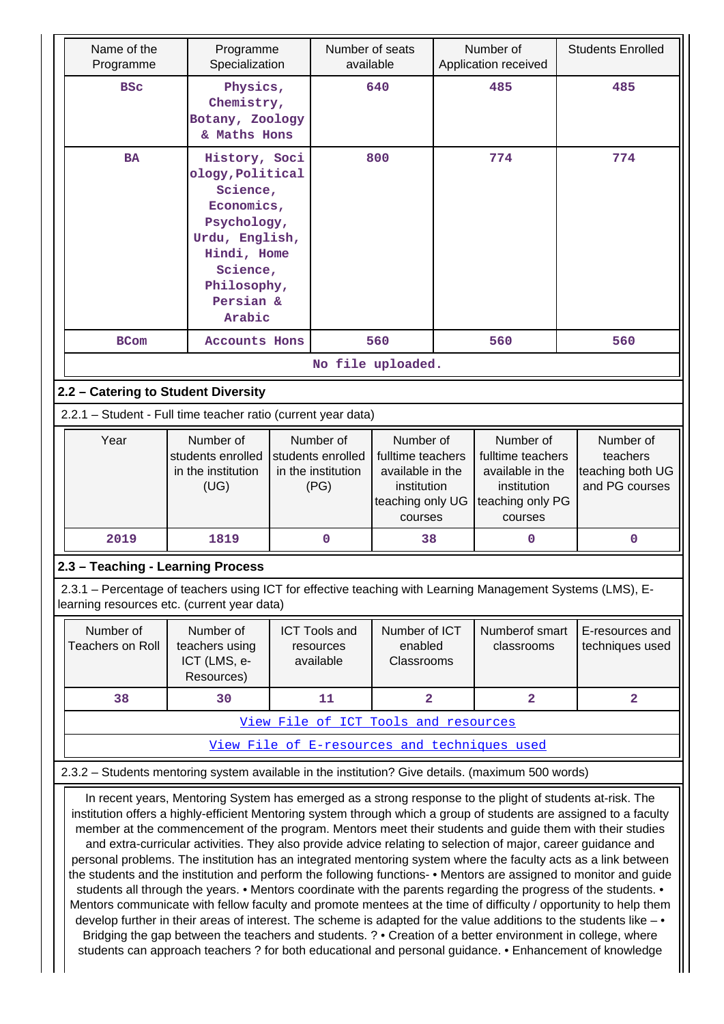| Name of the<br>Programme                                                                                                                                                                                                                                                                                                                                                                                                                                                      | Programme<br>Specialization                                                                                                                                                                                                                                                                                                                                                                                                                                                                                                                                                                                                                                                                                                                                                                                      | Number of seats<br>available                                                             |                                                                                                  | Number of<br>Application received |                                                                                                  | <b>Students Enrolled</b>                                    |
|-------------------------------------------------------------------------------------------------------------------------------------------------------------------------------------------------------------------------------------------------------------------------------------------------------------------------------------------------------------------------------------------------------------------------------------------------------------------------------|------------------------------------------------------------------------------------------------------------------------------------------------------------------------------------------------------------------------------------------------------------------------------------------------------------------------------------------------------------------------------------------------------------------------------------------------------------------------------------------------------------------------------------------------------------------------------------------------------------------------------------------------------------------------------------------------------------------------------------------------------------------------------------------------------------------|------------------------------------------------------------------------------------------|--------------------------------------------------------------------------------------------------|-----------------------------------|--------------------------------------------------------------------------------------------------|-------------------------------------------------------------|
| <b>BSC</b>                                                                                                                                                                                                                                                                                                                                                                                                                                                                    | Physics,<br>Chemistry,<br>Botany, Zoology<br>& Maths Hons                                                                                                                                                                                                                                                                                                                                                                                                                                                                                                                                                                                                                                                                                                                                                        | 640                                                                                      |                                                                                                  | 485                               |                                                                                                  | 485                                                         |
| <b>BA</b>                                                                                                                                                                                                                                                                                                                                                                                                                                                                     | History, Soci<br>ology, Political<br>Science,<br>Economics,<br>Psychology,<br>Urdu, English,<br>Hindi, Home<br>Science,<br>Philosophy,<br>Persian &<br>Arabic                                                                                                                                                                                                                                                                                                                                                                                                                                                                                                                                                                                                                                                    | 800                                                                                      |                                                                                                  | 774                               |                                                                                                  | 774                                                         |
| <b>BCom</b>                                                                                                                                                                                                                                                                                                                                                                                                                                                                   | <b>Accounts Hons</b>                                                                                                                                                                                                                                                                                                                                                                                                                                                                                                                                                                                                                                                                                                                                                                                             |                                                                                          | 560                                                                                              |                                   | 560                                                                                              | 560                                                         |
|                                                                                                                                                                                                                                                                                                                                                                                                                                                                               |                                                                                                                                                                                                                                                                                                                                                                                                                                                                                                                                                                                                                                                                                                                                                                                                                  |                                                                                          | No file uploaded.                                                                                |                                   |                                                                                                  |                                                             |
| 2.2 - Catering to Student Diversity                                                                                                                                                                                                                                                                                                                                                                                                                                           |                                                                                                                                                                                                                                                                                                                                                                                                                                                                                                                                                                                                                                                                                                                                                                                                                  |                                                                                          |                                                                                                  |                                   |                                                                                                  |                                                             |
| 2.2.1 - Student - Full time teacher ratio (current year data)                                                                                                                                                                                                                                                                                                                                                                                                                 |                                                                                                                                                                                                                                                                                                                                                                                                                                                                                                                                                                                                                                                                                                                                                                                                                  |                                                                                          |                                                                                                  |                                   |                                                                                                  |                                                             |
| Year                                                                                                                                                                                                                                                                                                                                                                                                                                                                          | Number of<br>students enrolled<br>in the institution<br>(UG)                                                                                                                                                                                                                                                                                                                                                                                                                                                                                                                                                                                                                                                                                                                                                     | Number of<br>students enrolled<br>in the institution<br>(PG)                             | Number of<br>fulltime teachers<br>available in the<br>institution<br>teaching only UG<br>courses |                                   | Number of<br>fulltime teachers<br>available in the<br>institution<br>teaching only PG<br>courses | Number of<br>teachers<br>teaching both UG<br>and PG courses |
| 2019                                                                                                                                                                                                                                                                                                                                                                                                                                                                          | 1819                                                                                                                                                                                                                                                                                                                                                                                                                                                                                                                                                                                                                                                                                                                                                                                                             | 0                                                                                        | 38                                                                                               |                                   | 0                                                                                                | $\mathbf 0$                                                 |
| 2.3 - Teaching - Learning Process                                                                                                                                                                                                                                                                                                                                                                                                                                             |                                                                                                                                                                                                                                                                                                                                                                                                                                                                                                                                                                                                                                                                                                                                                                                                                  |                                                                                          |                                                                                                  |                                   |                                                                                                  |                                                             |
| 2.3.1 – Percentage of teachers using ICT for effective teaching with Learning Management Systems (LMS), E-<br>learning resources etc. (current year data)                                                                                                                                                                                                                                                                                                                     |                                                                                                                                                                                                                                                                                                                                                                                                                                                                                                                                                                                                                                                                                                                                                                                                                  |                                                                                          |                                                                                                  |                                   |                                                                                                  |                                                             |
| Number of<br><b>Teachers on Roll</b>                                                                                                                                                                                                                                                                                                                                                                                                                                          | Number of<br>teachers using<br>ICT (LMS, e-<br>Resources)                                                                                                                                                                                                                                                                                                                                                                                                                                                                                                                                                                                                                                                                                                                                                        | Number of ICT<br><b>ICT Tools and</b><br>enabled<br>resources<br>available<br>Classrooms |                                                                                                  |                                   | Numberof smart<br>classrooms                                                                     | E-resources and<br>techniques used                          |
| 38                                                                                                                                                                                                                                                                                                                                                                                                                                                                            | 30                                                                                                                                                                                                                                                                                                                                                                                                                                                                                                                                                                                                                                                                                                                                                                                                               | 11                                                                                       | 2                                                                                                |                                   | $\overline{2}$                                                                                   | $\overline{\mathbf{2}}$                                     |
|                                                                                                                                                                                                                                                                                                                                                                                                                                                                               |                                                                                                                                                                                                                                                                                                                                                                                                                                                                                                                                                                                                                                                                                                                                                                                                                  |                                                                                          | View File of ICT Tools and resources                                                             |                                   |                                                                                                  |                                                             |
|                                                                                                                                                                                                                                                                                                                                                                                                                                                                               |                                                                                                                                                                                                                                                                                                                                                                                                                                                                                                                                                                                                                                                                                                                                                                                                                  |                                                                                          |                                                                                                  |                                   | View File of E-resources and techniques used                                                     |                                                             |
| 2.3.2 - Students mentoring system available in the institution? Give details. (maximum 500 words)                                                                                                                                                                                                                                                                                                                                                                             |                                                                                                                                                                                                                                                                                                                                                                                                                                                                                                                                                                                                                                                                                                                                                                                                                  |                                                                                          |                                                                                                  |                                   |                                                                                                  |                                                             |
| institution offers a highly-efficient Mentoring system through which a group of students are assigned to a faculty<br>personal problems. The institution has an integrated mentoring system where the faculty acts as a link between<br>the students and the institution and perform the following functions- • Mentors are assigned to monitor and guide<br>Mentors communicate with fellow faculty and promote mentees at the time of difficulty / opportunity to help them | In recent years, Mentoring System has emerged as a strong response to the plight of students at-risk. The<br>member at the commencement of the program. Mentors meet their students and guide them with their studies<br>and extra-curricular activities. They also provide advice relating to selection of major, career guidance and<br>students all through the years. • Mentors coordinate with the parents regarding the progress of the students. •<br>develop further in their areas of interest. The scheme is adapted for the value additions to the students like - $\bullet$<br>Bridging the gap between the teachers and students. ? • Creation of a better environment in college, where<br>students can approach teachers ? for both educational and personal guidance. • Enhancement of knowledge |                                                                                          |                                                                                                  |                                   |                                                                                                  |                                                             |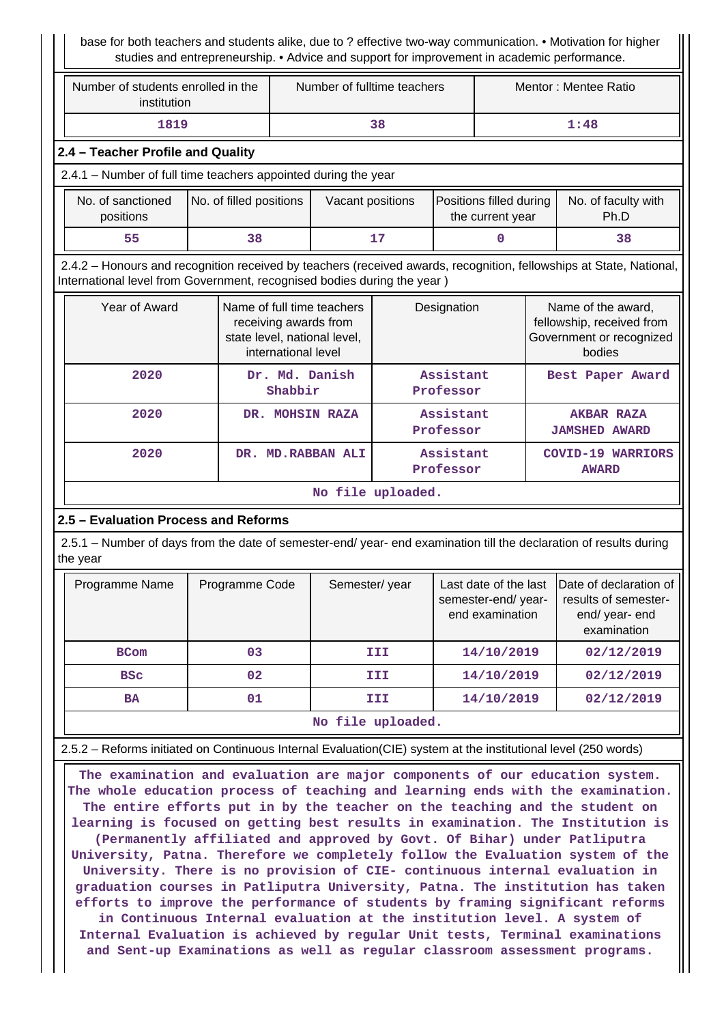base for both teachers and students alike, due to ? effective two-way communication. • Motivation for higher studies and entrepreneurship. • Advice and support for improvement in academic performance.

| Number of students enrolled in the<br>institution | Number of fulltime teachers | Mentor: Mentee Ratio |  |
|---------------------------------------------------|-----------------------------|----------------------|--|
| 1819                                              | 38                          | 1:48                 |  |

## **2.4 – Teacher Profile and Quality**

2.4.1 – Number of full time teachers appointed during the year

| No. of sanctioned<br>positions | No. of filled positions | Vacant positions | Positions filled during<br>the current year | No. of faculty with<br>Ph.D |
|--------------------------------|-------------------------|------------------|---------------------------------------------|-----------------------------|
| 55                             | 38                      | 17               |                                             | 38                          |

 2.4.2 – Honours and recognition received by teachers (received awards, recognition, fellowships at State, National, International level from Government, recognised bodies during the year )

| Year of Award | Name of full time teachers<br>receiving awards from<br>state level, national level,<br>international level | Designation            | Name of the award,<br>fellowship, received from<br>Government or recognized<br>bodies |  |
|---------------|------------------------------------------------------------------------------------------------------------|------------------------|---------------------------------------------------------------------------------------|--|
| 2020          | Dr. Md. Danish<br>Shabbir                                                                                  | Assistant<br>Professor | Best Paper Award                                                                      |  |
| 2020          | DR. MOHSIN RAZA                                                                                            | Assistant<br>Professor | <b>AKBAR RAZA</b><br><b>JAMSHED AWARD</b>                                             |  |
| 2020          | <b>MD.RABBAN ALI</b><br>DR.                                                                                | Assistant<br>Professor | $COVID-19$<br><b>WARRIORS</b><br><b>AWARD</b>                                         |  |
|               |                                                                                                            | No file uploaded.      |                                                                                       |  |

### **2.5 – Evaluation Process and Reforms**

 2.5.1 – Number of days from the date of semester-end/ year- end examination till the declaration of results during the year

| Programme Name    | Programme Code | Semester/year | Last date of the last<br>semester-end/year-<br>end examination | Date of declaration of<br>results of semester-<br>end/year-end<br>examination |  |  |  |  |
|-------------------|----------------|---------------|----------------------------------------------------------------|-------------------------------------------------------------------------------|--|--|--|--|
| <b>BCom</b>       | 03             | III           | 14/10/2019                                                     | 02/12/2019                                                                    |  |  |  |  |
| <b>BSC</b>        | 02             | III           | 14/10/2019                                                     | 02/12/2019                                                                    |  |  |  |  |
| BA                | 01             | III           | 14/10/2019                                                     | 02/12/2019                                                                    |  |  |  |  |
| No file uploaded. |                |               |                                                                |                                                                               |  |  |  |  |

2.5.2 – Reforms initiated on Continuous Internal Evaluation(CIE) system at the institutional level (250 words)

 **The examination and evaluation are major components of our education system. The whole education process of teaching and learning ends with the examination. The entire efforts put in by the teacher on the teaching and the student on learning is focused on getting best results in examination. The Institution is (Permanently affiliated and approved by Govt. Of Bihar) under Patliputra University, Patna. Therefore we completely follow the Evaluation system of the University. There is no provision of CIE- continuous internal evaluation in graduation courses in Patliputra University, Patna. The institution has taken efforts to improve the performance of students by framing significant reforms in Continuous Internal evaluation at the institution level. A system of Internal Evaluation is achieved by regular Unit tests, Terminal examinations and Sent-up Examinations as well as regular classroom assessment programs.**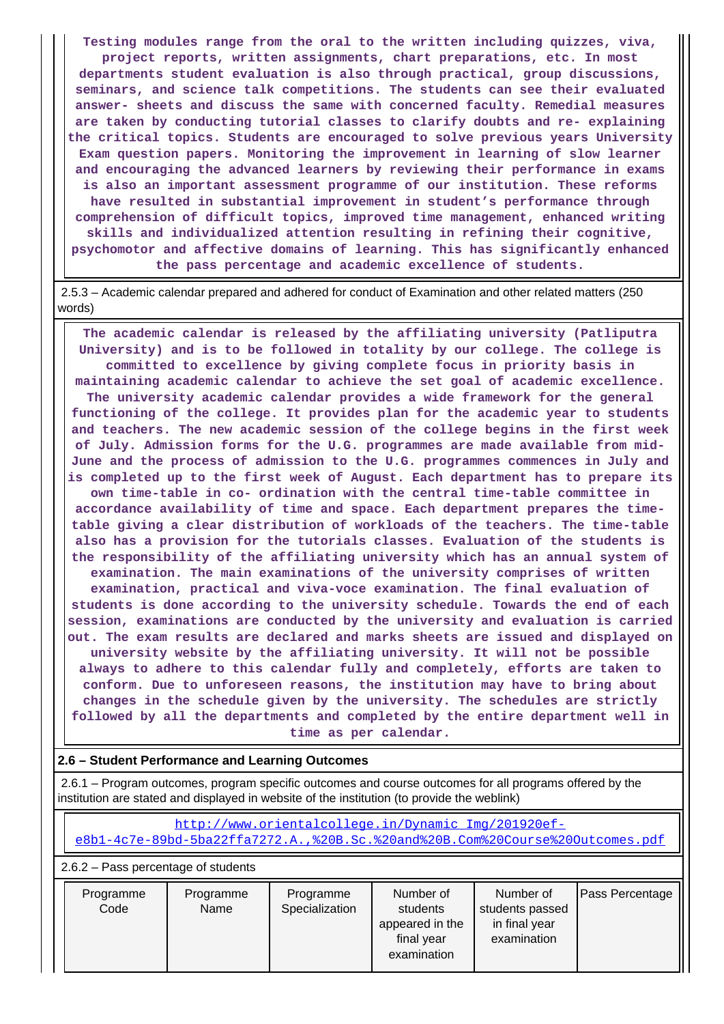**Testing modules range from the oral to the written including quizzes, viva, project reports, written assignments, chart preparations, etc. In most departments student evaluation is also through practical, group discussions, seminars, and science talk competitions. The students can see their evaluated answer- sheets and discuss the same with concerned faculty. Remedial measures are taken by conducting tutorial classes to clarify doubts and re- explaining the critical topics. Students are encouraged to solve previous years University Exam question papers. Monitoring the improvement in learning of slow learner and encouraging the advanced learners by reviewing their performance in exams is also an important assessment programme of our institution. These reforms have resulted in substantial improvement in student's performance through comprehension of difficult topics, improved time management, enhanced writing skills and individualized attention resulting in refining their cognitive, psychomotor and affective domains of learning. This has significantly enhanced the pass percentage and academic excellence of students.**

 2.5.3 – Academic calendar prepared and adhered for conduct of Examination and other related matters (250 words)

 **The academic calendar is released by the affiliating university (Patliputra University) and is to be followed in totality by our college. The college is committed to excellence by giving complete focus in priority basis in maintaining academic calendar to achieve the set goal of academic excellence. The university academic calendar provides a wide framework for the general functioning of the college. It provides plan for the academic year to students and teachers. The new academic session of the college begins in the first week of July. Admission forms for the U.G. programmes are made available from mid-June and the process of admission to the U.G. programmes commences in July and is completed up to the first week of August. Each department has to prepare its own time-table in co- ordination with the central time-table committee in accordance availability of time and space. Each department prepares the timetable giving a clear distribution of workloads of the teachers. The time-table also has a provision for the tutorials classes. Evaluation of the students is the responsibility of the affiliating university which has an annual system of examination. The main examinations of the university comprises of written examination, practical and viva-voce examination. The final evaluation of students is done according to the university schedule. Towards the end of each session, examinations are conducted by the university and evaluation is carried out. The exam results are declared and marks sheets are issued and displayed on university website by the affiliating university. It will not be possible always to adhere to this calendar fully and completely, efforts are taken to conform. Due to unforeseen reasons, the institution may have to bring about changes in the schedule given by the university. The schedules are strictly followed by all the departments and completed by the entire department well in time as per calendar.**

### **2.6 – Student Performance and Learning Outcomes**

 2.6.1 – Program outcomes, program specific outcomes and course outcomes for all programs offered by the institution are stated and displayed in website of the institution (to provide the weblink)

 [http://www.orientalcollege.in/Dynamic\\_Img/201920ef](http://www.orientalcollege.in/Dynamic_Img/201920ef-e8b1-4c7e-89bd-5ba22ffa7272.A.,%20B.Sc.%20and%20B.Com%20Course%20Outcomes.pdf)[e8b1-4c7e-89bd-5ba22ffa7272.A.,%20B.Sc.%20and%20B.Com%20Course%20Outcomes.pdf](http://www.orientalcollege.in/Dynamic_Img/201920ef-e8b1-4c7e-89bd-5ba22ffa7272.A.,%20B.Sc.%20and%20B.Com%20Course%20Outcomes.pdf)

2.6.2 – Pass percentage of students

| examination<br>final year | Programme<br>Code | Programme<br>Name | Programme<br>Specialization | Number of<br>students          | Number of<br>students passed | Pass Percentage |
|---------------------------|-------------------|-------------------|-----------------------------|--------------------------------|------------------------------|-----------------|
|                           |                   |                   |                             | appeared in the<br>examination | in final year                |                 |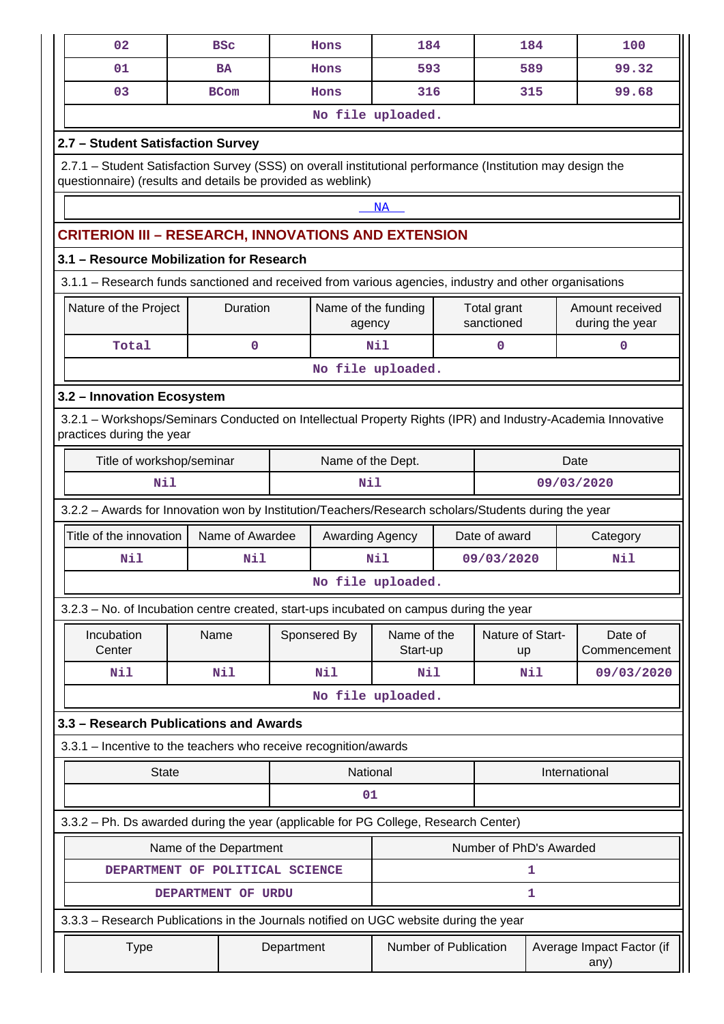|                                                                                                      | 02                                                                                                                                                                        | <b>BSC</b>   |            | Hons                                    | 184                   |  |                           | 184 | 100                                |  |
|------------------------------------------------------------------------------------------------------|---------------------------------------------------------------------------------------------------------------------------------------------------------------------------|--------------|------------|-----------------------------------------|-----------------------|--|---------------------------|-----|------------------------------------|--|
|                                                                                                      | 01                                                                                                                                                                        | <b>BA</b>    |            | Hons                                    | 593                   |  |                           | 589 | 99.32                              |  |
|                                                                                                      | 03                                                                                                                                                                        | <b>BCom</b>  |            | Hons                                    | 316                   |  |                           | 315 | 99.68                              |  |
|                                                                                                      |                                                                                                                                                                           |              |            |                                         | No file uploaded.     |  |                           |     |                                    |  |
|                                                                                                      | 2.7 - Student Satisfaction Survey                                                                                                                                         |              |            |                                         |                       |  |                           |     |                                    |  |
|                                                                                                      | 2.7.1 - Student Satisfaction Survey (SSS) on overall institutional performance (Institution may design the<br>questionnaire) (results and details be provided as weblink) |              |            |                                         |                       |  |                           |     |                                    |  |
|                                                                                                      |                                                                                                                                                                           |              |            |                                         | NA                    |  |                           |     |                                    |  |
|                                                                                                      | <b>CRITERION III – RESEARCH, INNOVATIONS AND EXTENSION</b>                                                                                                                |              |            |                                         |                       |  |                           |     |                                    |  |
|                                                                                                      | 3.1 - Resource Mobilization for Research                                                                                                                                  |              |            |                                         |                       |  |                           |     |                                    |  |
|                                                                                                      | 3.1.1 – Research funds sanctioned and received from various agencies, industry and other organisations                                                                    |              |            |                                         |                       |  |                           |     |                                    |  |
|                                                                                                      | Nature of the Project                                                                                                                                                     | Duration     |            | Name of the funding<br>agency           |                       |  | Total grant<br>sanctioned |     | Amount received<br>during the year |  |
|                                                                                                      | Total                                                                                                                                                                     | $\mathbf{0}$ |            |                                         | Nil                   |  | 0                         |     | 0                                  |  |
|                                                                                                      |                                                                                                                                                                           |              |            |                                         | No file uploaded.     |  |                           |     |                                    |  |
|                                                                                                      | 3.2 - Innovation Ecosystem                                                                                                                                                |              |            |                                         |                       |  |                           |     |                                    |  |
|                                                                                                      | 3.2.1 – Workshops/Seminars Conducted on Intellectual Property Rights (IPR) and Industry-Academia Innovative<br>practices during the year                                  |              |            |                                         |                       |  |                           |     |                                    |  |
|                                                                                                      | Title of workshop/seminar                                                                                                                                                 |              |            | Name of the Dept.                       |                       |  |                           |     | Date                               |  |
|                                                                                                      | Nil<br>09/03/2020<br>Nil                                                                                                                                                  |              |            |                                         |                       |  |                           |     |                                    |  |
| 3.2.2 - Awards for Innovation won by Institution/Teachers/Research scholars/Students during the year |                                                                                                                                                                           |              |            |                                         |                       |  |                           |     |                                    |  |
| Title of the innovation<br>Name of Awardee<br>Date of award<br>Awarding Agency                       |                                                                                                                                                                           |              |            |                                         |                       |  |                           |     | Category                           |  |
|                                                                                                      | Nil                                                                                                                                                                       | Nil          |            |                                         | Nil                   |  | 09/03/2020                |     | Nil                                |  |
|                                                                                                      |                                                                                                                                                                           |              |            |                                         | No file uploaded.     |  |                           |     |                                    |  |
|                                                                                                      | 3.2.3 – No. of Incubation centre created, start-ups incubated on campus during the year                                                                                   |              |            |                                         |                       |  |                           |     |                                    |  |
|                                                                                                      | Incubation<br>Center                                                                                                                                                      | Name         |            | Sponsered By<br>Name of the<br>Start-up |                       |  | Nature of Start-<br>up    |     | Date of<br>Commencement            |  |
|                                                                                                      | Nil                                                                                                                                                                       | <b>Nil</b>   |            | Nil                                     | Nil                   |  | Nil                       |     | 09/03/2020                         |  |
|                                                                                                      |                                                                                                                                                                           |              |            |                                         | No file uploaded.     |  |                           |     |                                    |  |
|                                                                                                      | 3.3 – Research Publications and Awards                                                                                                                                    |              |            |                                         |                       |  |                           |     |                                    |  |
|                                                                                                      | 3.3.1 - Incentive to the teachers who receive recognition/awards                                                                                                          |              |            |                                         |                       |  |                           |     |                                    |  |
|                                                                                                      | <b>State</b>                                                                                                                                                              |              |            | National                                |                       |  |                           |     | International                      |  |
|                                                                                                      |                                                                                                                                                                           |              |            | 01                                      |                       |  |                           |     |                                    |  |
|                                                                                                      | 3.3.2 - Ph. Ds awarded during the year (applicable for PG College, Research Center)                                                                                       |              |            |                                         |                       |  |                           |     |                                    |  |
| Number of PhD's Awarded<br>Name of the Department                                                    |                                                                                                                                                                           |              |            |                                         |                       |  |                           |     |                                    |  |
|                                                                                                      | DEPARTMENT OF POLITICAL SCIENCE                                                                                                                                           | 1            |            |                                         |                       |  |                           |     |                                    |  |
|                                                                                                      | 1<br>DEPARTMENT OF URDU                                                                                                                                                   |              |            |                                         |                       |  |                           |     |                                    |  |
|                                                                                                      | 3.3.3 - Research Publications in the Journals notified on UGC website during the year                                                                                     |              |            |                                         |                       |  |                           |     |                                    |  |
|                                                                                                      | <b>Type</b>                                                                                                                                                               |              | Department |                                         | Number of Publication |  |                           |     | Average Impact Factor (if<br>any)  |  |
|                                                                                                      |                                                                                                                                                                           |              |            |                                         |                       |  |                           |     |                                    |  |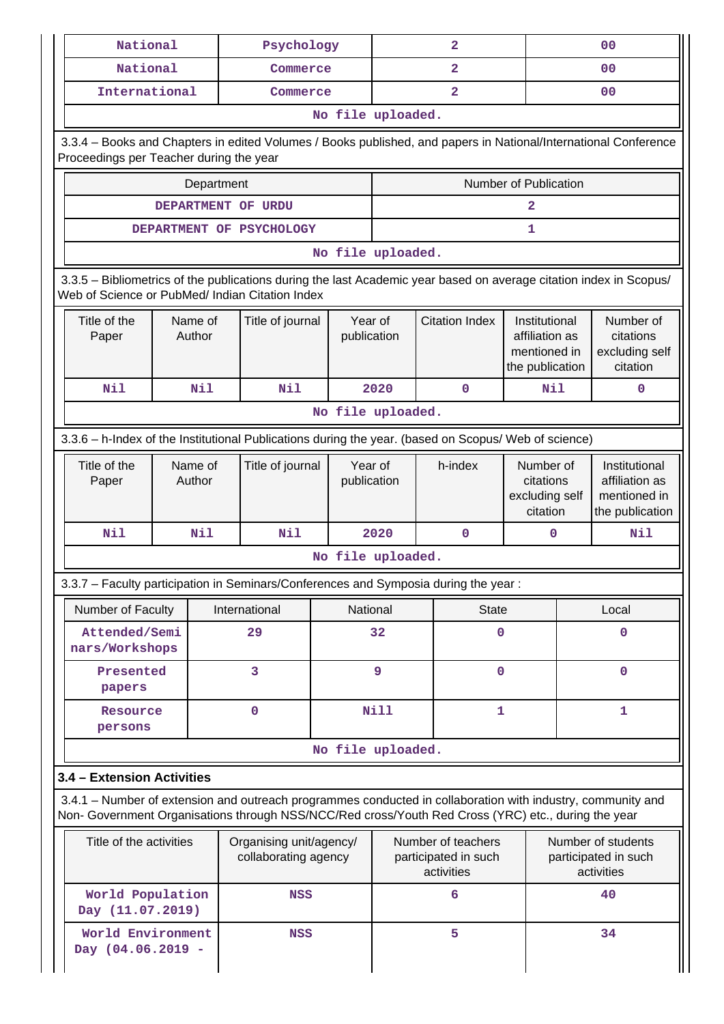| National                                                                                                                                                                                                           |                    |  | Psychology                                      |          |                        |                                                          | $\overline{a}$          |                                                                    | 0 <sub>0</sub>                                           |                                                                    |  |
|--------------------------------------------------------------------------------------------------------------------------------------------------------------------------------------------------------------------|--------------------|--|-------------------------------------------------|----------|------------------------|----------------------------------------------------------|-------------------------|--------------------------------------------------------------------|----------------------------------------------------------|--------------------------------------------------------------------|--|
| National                                                                                                                                                                                                           |                    |  | Commerce                                        |          |                        |                                                          | $\overline{2}$          |                                                                    |                                                          | 0 <sub>0</sub>                                                     |  |
| International                                                                                                                                                                                                      |                    |  | Commerce                                        |          |                        |                                                          | $\overline{\mathbf{2}}$ |                                                                    |                                                          | 0 <sub>0</sub>                                                     |  |
|                                                                                                                                                                                                                    |                    |  |                                                 |          | No file uploaded.      |                                                          |                         |                                                                    |                                                          |                                                                    |  |
| 3.3.4 - Books and Chapters in edited Volumes / Books published, and papers in National/International Conference<br>Proceedings per Teacher during the year                                                         |                    |  |                                                 |          |                        |                                                          |                         |                                                                    |                                                          |                                                                    |  |
|                                                                                                                                                                                                                    | Department         |  |                                                 |          |                        |                                                          |                         | Number of Publication                                              |                                                          |                                                                    |  |
|                                                                                                                                                                                                                    | DEPARTMENT OF URDU |  |                                                 |          | 2                      |                                                          |                         |                                                                    |                                                          |                                                                    |  |
|                                                                                                                                                                                                                    |                    |  | DEPARTMENT OF PSYCHOLOGY                        |          | 1                      |                                                          |                         |                                                                    |                                                          |                                                                    |  |
|                                                                                                                                                                                                                    |                    |  |                                                 |          | No file uploaded.      |                                                          |                         |                                                                    |                                                          |                                                                    |  |
| 3.3.5 - Bibliometrics of the publications during the last Academic year based on average citation index in Scopus/<br>Web of Science or PubMed/ Indian Citation Index                                              |                    |  |                                                 |          |                        |                                                          |                         |                                                                    |                                                          |                                                                    |  |
| Title of the<br>Name of<br>Author<br>Paper                                                                                                                                                                         |                    |  | Title of journal                                |          | Year of<br>publication |                                                          | <b>Citation Index</b>   | Institutional<br>affiliation as<br>mentioned in<br>the publication |                                                          | Number of<br>citations<br>excluding self<br>citation               |  |
| Nil<br>Nil                                                                                                                                                                                                         |                    |  | Nil                                             |          | 2020                   |                                                          | $\mathbf 0$             | Nil                                                                |                                                          | $\mathbf 0$                                                        |  |
|                                                                                                                                                                                                                    |                    |  |                                                 |          | No file uploaded.      |                                                          |                         |                                                                    |                                                          |                                                                    |  |
| 3.3.6 - h-Index of the Institutional Publications during the year. (based on Scopus/ Web of science)                                                                                                               |                    |  |                                                 |          |                        |                                                          |                         |                                                                    |                                                          |                                                                    |  |
| Title of the<br>Name of<br>Title of journal<br>Author<br>Paper                                                                                                                                                     |                    |  |                                                 |          | Year of<br>publication |                                                          | h-index                 | Number of<br>citations<br>excluding self<br>citation               |                                                          | Institutional<br>affiliation as<br>mentioned in<br>the publication |  |
| Nil<br>Nil<br>Nil                                                                                                                                                                                                  |                    |  |                                                 |          | 2020                   |                                                          | $\mathbf 0$             | 0                                                                  |                                                          | Nil                                                                |  |
|                                                                                                                                                                                                                    |                    |  |                                                 |          | No file uploaded.      |                                                          |                         |                                                                    |                                                          |                                                                    |  |
| 3.3.7 – Faculty participation in Seminars/Conferences and Symposia during the year:                                                                                                                                |                    |  |                                                 |          |                        |                                                          |                         |                                                                    |                                                          |                                                                    |  |
| Number of Faculty                                                                                                                                                                                                  |                    |  | International                                   | National |                        |                                                          | <b>State</b>            |                                                                    | Local                                                    |                                                                    |  |
| Attended/Semi<br>nars/Workshops                                                                                                                                                                                    |                    |  | 29                                              |          | 32                     | 0                                                        |                         |                                                                    |                                                          | $\mathbf 0$                                                        |  |
| Presented<br>papers                                                                                                                                                                                                |                    |  | 3                                               |          | 9                      |                                                          | $\pmb{0}$               |                                                                    |                                                          | $\mathbf 0$                                                        |  |
| $\mathbf 0$<br>Resource<br>persons                                                                                                                                                                                 |                    |  |                                                 |          | <b>Nill</b>            | 1                                                        |                         |                                                                    | 1                                                        |                                                                    |  |
|                                                                                                                                                                                                                    |                    |  |                                                 |          | No file uploaded.      |                                                          |                         |                                                                    |                                                          |                                                                    |  |
| 3.4 - Extension Activities                                                                                                                                                                                         |                    |  |                                                 |          |                        |                                                          |                         |                                                                    |                                                          |                                                                    |  |
| 3.4.1 – Number of extension and outreach programmes conducted in collaboration with industry, community and<br>Non- Government Organisations through NSS/NCC/Red cross/Youth Red Cross (YRC) etc., during the year |                    |  |                                                 |          |                        |                                                          |                         |                                                                    |                                                          |                                                                    |  |
| Title of the activities                                                                                                                                                                                            |                    |  | Organising unit/agency/<br>collaborating agency |          |                        | Number of teachers<br>participated in such<br>activities |                         |                                                                    | Number of students<br>participated in such<br>activities |                                                                    |  |
| World Population<br>Day (11.07.2019)                                                                                                                                                                               |                    |  | <b>NSS</b>                                      |          |                        |                                                          | 6                       |                                                                    | 40                                                       |                                                                    |  |
| World Environment<br>Day (04.06.2019 -                                                                                                                                                                             |                    |  | <b>NSS</b>                                      |          |                        |                                                          | 5                       |                                                                    | 34                                                       |                                                                    |  |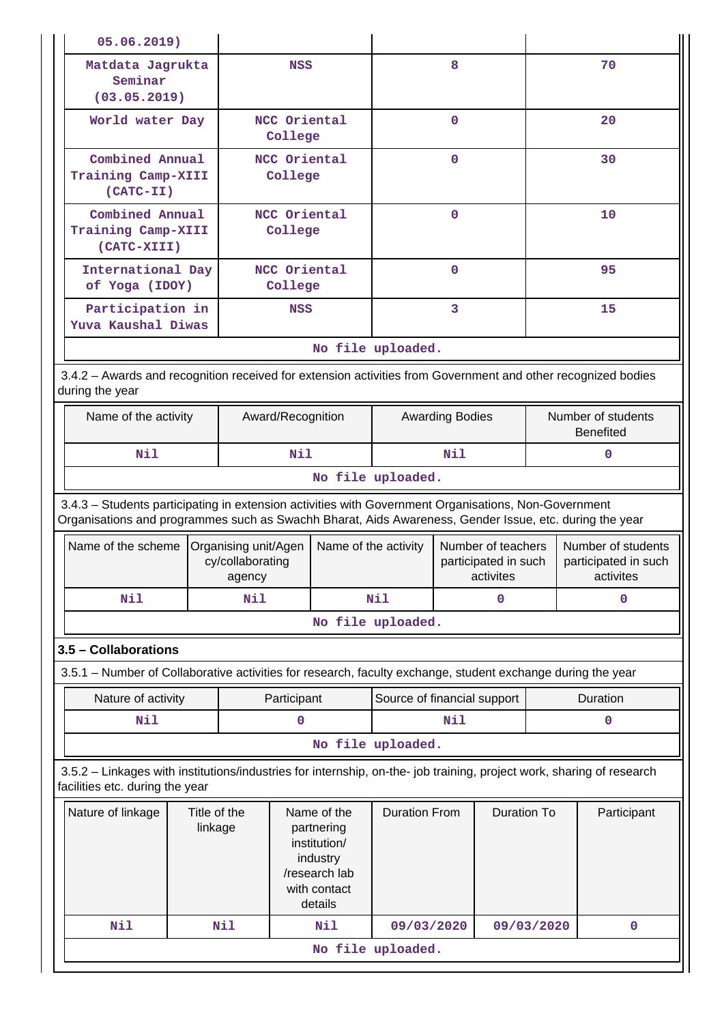| 05.06.2019)                                                                                                                                                                                                    |                                                      |                   |                                                                                                   |                        |                                            |                                                         |                                        |                                                         |             |
|----------------------------------------------------------------------------------------------------------------------------------------------------------------------------------------------------------------|------------------------------------------------------|-------------------|---------------------------------------------------------------------------------------------------|------------------------|--------------------------------------------|---------------------------------------------------------|----------------------------------------|---------------------------------------------------------|-------------|
| Matdata Jagrukta<br>Seminar<br>(03.05.2019)                                                                                                                                                                    |                                                      |                   | <b>NSS</b>                                                                                        |                        |                                            | 8                                                       |                                        |                                                         | 70          |
| World water Day                                                                                                                                                                                                |                                                      |                   | NCC Oriental<br>College                                                                           |                        |                                            | $\mathbf 0$                                             |                                        | 20                                                      |             |
|                                                                                                                                                                                                                | Combined Annual<br>Training Camp-XIII<br>$(CATC-TI)$ |                   | NCC Oriental<br>College                                                                           |                        | $\mathbf{O}$                               |                                                         |                                        | 30                                                      |             |
|                                                                                                                                                                                                                | Combined Annual<br>Training Camp-XIII<br>(CATC-XIII) |                   | NCC Oriental<br>College                                                                           |                        |                                            | $\mathbf 0$                                             |                                        |                                                         | 10          |
|                                                                                                                                                                                                                | International Day<br>of Yoga (IDOY)                  |                   | NCC Oriental<br>College                                                                           |                        |                                            | $\mathbf 0$                                             |                                        |                                                         | 95          |
| Participation in<br>Yuva Kaushal Diwas                                                                                                                                                                         |                                                      |                   | <b>NSS</b>                                                                                        |                        |                                            | 3                                                       |                                        |                                                         | 15          |
|                                                                                                                                                                                                                |                                                      |                   |                                                                                                   |                        | No file uploaded.                          |                                                         |                                        |                                                         |             |
| 3.4.2 - Awards and recognition received for extension activities from Government and other recognized bodies<br>during the year                                                                                |                                                      |                   |                                                                                                   |                        |                                            |                                                         |                                        |                                                         |             |
| Name of the activity                                                                                                                                                                                           |                                                      | Award/Recognition |                                                                                                   | <b>Awarding Bodies</b> |                                            |                                                         | Number of students<br><b>Benefited</b> |                                                         |             |
| Nil                                                                                                                                                                                                            |                                                      |                   | Nil                                                                                               |                        |                                            | Nil                                                     |                                        |                                                         | $\mathbf 0$ |
| No file uploaded.                                                                                                                                                                                              |                                                      |                   |                                                                                                   |                        |                                            |                                                         |                                        |                                                         |             |
| 3.4.3 - Students participating in extension activities with Government Organisations, Non-Government<br>Organisations and programmes such as Swachh Bharat, Aids Awareness, Gender Issue, etc. during the year |                                                      |                   |                                                                                                   |                        |                                            |                                                         |                                        |                                                         |             |
| Name of the scheme                                                                                                                                                                                             | Organising unit/Agen<br>cy/collaborating<br>agency   |                   | Name of the activity                                                                              |                        |                                            | Number of teachers<br>participated in such<br>activites |                                        | Number of students<br>participated in such<br>activites |             |
| Nil                                                                                                                                                                                                            |                                                      | Nil               |                                                                                                   |                        | Nil<br>$\mathbf 0$                         |                                                         | 0                                      |                                                         |             |
|                                                                                                                                                                                                                |                                                      |                   |                                                                                                   |                        | No file uploaded.                          |                                                         |                                        |                                                         |             |
| 3.5 - Collaborations                                                                                                                                                                                           |                                                      |                   |                                                                                                   |                        |                                            |                                                         |                                        |                                                         |             |
| 3.5.1 – Number of Collaborative activities for research, faculty exchange, student exchange during the year                                                                                                    |                                                      |                   |                                                                                                   |                        |                                            |                                                         |                                        |                                                         |             |
| Nature of activity                                                                                                                                                                                             |                                                      |                   | Participant                                                                                       |                        | Source of financial support                |                                                         |                                        |                                                         | Duration    |
| Nil                                                                                                                                                                                                            |                                                      |                   | 0                                                                                                 |                        | Nil<br>$\mathbf 0$                         |                                                         |                                        |                                                         |             |
|                                                                                                                                                                                                                |                                                      |                   |                                                                                                   |                        | No file uploaded.                          |                                                         |                                        |                                                         |             |
| 3.5.2 - Linkages with institutions/industries for internship, on-the- job training, project work, sharing of research<br>facilities etc. during the year                                                       |                                                      |                   |                                                                                                   |                        |                                            |                                                         |                                        |                                                         |             |
| Nature of linkage                                                                                                                                                                                              | Title of the<br>linkage                              |                   | Name of the<br>partnering<br>institution/<br>industry<br>/research lab<br>with contact<br>details |                        | <b>Duration From</b><br><b>Duration To</b> |                                                         |                                        | Participant                                             |             |
| Nil                                                                                                                                                                                                            |                                                      | <b>Nil</b>        |                                                                                                   | Nil                    | 09/03/2020                                 |                                                         |                                        | 09/03/2020<br>$\mathbf 0$                               |             |
|                                                                                                                                                                                                                |                                                      |                   |                                                                                                   |                        | No file uploaded.                          |                                                         |                                        |                                                         |             |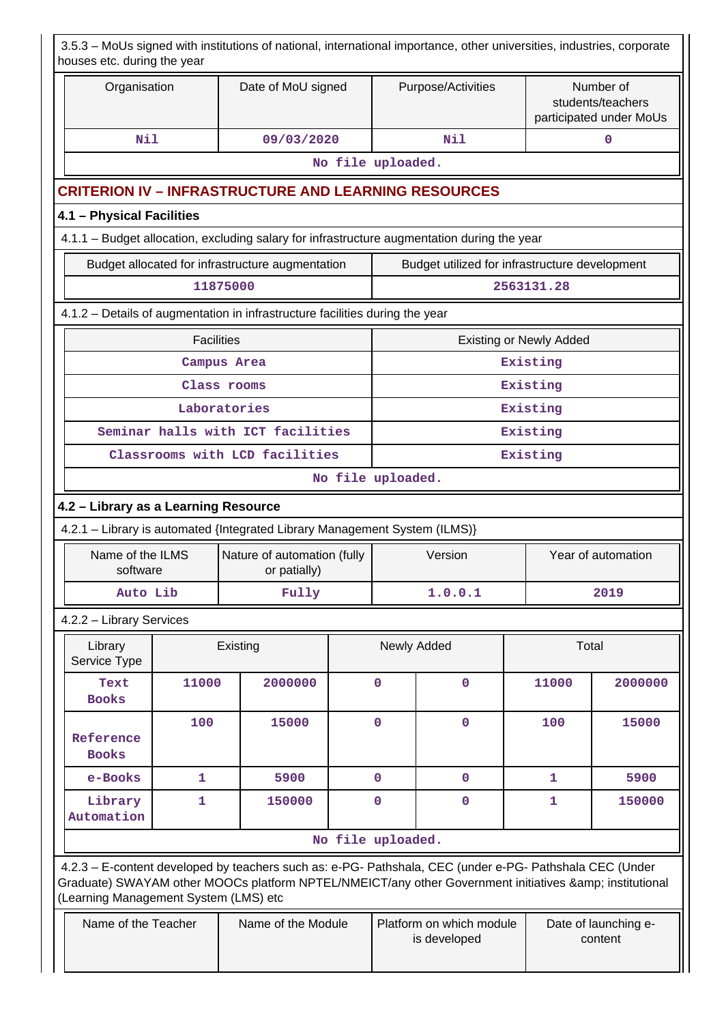| houses etc. during the year                                                                                                    |                        | 3.5.3 - MoUs signed with institutions of national, international importance, other universities, industries, corporate                                                                                         |                   |                  |                                                |                                |                                                           |  |  |  |
|--------------------------------------------------------------------------------------------------------------------------------|------------------------|----------------------------------------------------------------------------------------------------------------------------------------------------------------------------------------------------------------|-------------------|------------------|------------------------------------------------|--------------------------------|-----------------------------------------------------------|--|--|--|
| Organisation                                                                                                                   |                        | Date of MoU signed                                                                                                                                                                                             |                   |                  | Purpose/Activities                             |                                | Number of<br>students/teachers<br>participated under MoUs |  |  |  |
| Nil                                                                                                                            |                        | 09/03/2020                                                                                                                                                                                                     |                   |                  | Nil                                            |                                | $\mathbf 0$                                               |  |  |  |
|                                                                                                                                |                        |                                                                                                                                                                                                                | No file uploaded. |                  |                                                |                                |                                                           |  |  |  |
|                                                                                                                                |                        | <b>CRITERION IV – INFRASTRUCTURE AND LEARNING RESOURCES</b>                                                                                                                                                    |                   |                  |                                                |                                |                                                           |  |  |  |
| 4.1 - Physical Facilities                                                                                                      |                        |                                                                                                                                                                                                                |                   |                  |                                                |                                |                                                           |  |  |  |
|                                                                                                                                |                        | 4.1.1 - Budget allocation, excluding salary for infrastructure augmentation during the year                                                                                                                    |                   |                  |                                                |                                |                                                           |  |  |  |
|                                                                                                                                |                        | Budget allocated for infrastructure augmentation                                                                                                                                                               |                   |                  | Budget utilized for infrastructure development |                                |                                                           |  |  |  |
|                                                                                                                                |                        | 11875000                                                                                                                                                                                                       |                   |                  |                                                | 2563131.28                     |                                                           |  |  |  |
|                                                                                                                                |                        | 4.1.2 - Details of augmentation in infrastructure facilities during the year                                                                                                                                   |                   |                  |                                                |                                |                                                           |  |  |  |
|                                                                                                                                | <b>Facilities</b>      |                                                                                                                                                                                                                |                   |                  |                                                | <b>Existing or Newly Added</b> |                                                           |  |  |  |
|                                                                                                                                |                        | Campus Area                                                                                                                                                                                                    |                   |                  |                                                | Existing                       |                                                           |  |  |  |
|                                                                                                                                |                        | Class rooms                                                                                                                                                                                                    |                   | Existing         |                                                |                                |                                                           |  |  |  |
|                                                                                                                                |                        | Laboratories                                                                                                                                                                                                   |                   |                  |                                                | Existing                       |                                                           |  |  |  |
|                                                                                                                                |                        | Seminar halls with ICT facilities                                                                                                                                                                              |                   | Existing         |                                                |                                |                                                           |  |  |  |
|                                                                                                                                |                        | Classrooms with LCD facilities                                                                                                                                                                                 |                   |                  |                                                | Existing                       |                                                           |  |  |  |
|                                                                                                                                | No file uploaded.      |                                                                                                                                                                                                                |                   |                  |                                                |                                |                                                           |  |  |  |
| 4.2 - Library as a Learning Resource                                                                                           |                        |                                                                                                                                                                                                                |                   |                  |                                                |                                |                                                           |  |  |  |
| 4.2.1 - Library is automated {Integrated Library Management System (ILMS)}                                                     |                        |                                                                                                                                                                                                                |                   |                  |                                                |                                |                                                           |  |  |  |
| Name of the ILMS<br>software                                                                                                   |                        | Nature of automation (fully<br>or patially)                                                                                                                                                                    |                   |                  | Version                                        |                                | Year of automation                                        |  |  |  |
| Auto Lib                                                                                                                       |                        | Fully                                                                                                                                                                                                          |                   |                  | 1.0.0.1                                        |                                | 2019                                                      |  |  |  |
| 4.2.2 - Library Services                                                                                                       |                        |                                                                                                                                                                                                                |                   |                  |                                                |                                |                                                           |  |  |  |
| Library<br>Service Type                                                                                                        |                        | Existing                                                                                                                                                                                                       |                   |                  | Newly Added                                    | Total                          |                                                           |  |  |  |
| Text<br><b>Books</b>                                                                                                           | 11000                  | 2000000                                                                                                                                                                                                        |                   | 0                | $\mathbf 0$                                    | 11000                          | 2000000                                                   |  |  |  |
| Reference<br><b>Books</b>                                                                                                      | 100                    | 15000                                                                                                                                                                                                          |                   | $\mathbf 0$      | $\mathbf{O}$                                   | 100                            | 15000                                                     |  |  |  |
| e-Books                                                                                                                        | 1                      | 5900                                                                                                                                                                                                           |                   | $\mathbf 0$      | $\mathbf 0$                                    | 1                              | 5900                                                      |  |  |  |
| Library<br>Automation                                                                                                          | $\mathbf{1}$<br>150000 |                                                                                                                                                                                                                |                   | 0<br>$\mathbf 0$ |                                                | 1                              | 150000                                                    |  |  |  |
|                                                                                                                                |                        |                                                                                                                                                                                                                | No file uploaded. |                  |                                                |                                |                                                           |  |  |  |
|                                                                                                                                |                        | 4.2.3 - E-content developed by teachers such as: e-PG- Pathshala, CEC (under e-PG- Pathshala CEC (Under<br>Graduate) SWAYAM other MOOCs platform NPTEL/NMEICT/any other Government initiatives & institutional |                   |                  |                                                |                                |                                                           |  |  |  |
| (Learning Management System (LMS) etc<br>Name of the Teacher<br>Name of the Module<br>Platform on which module<br>is developed |                        |                                                                                                                                                                                                                |                   |                  |                                                |                                | Date of launching e-<br>content                           |  |  |  |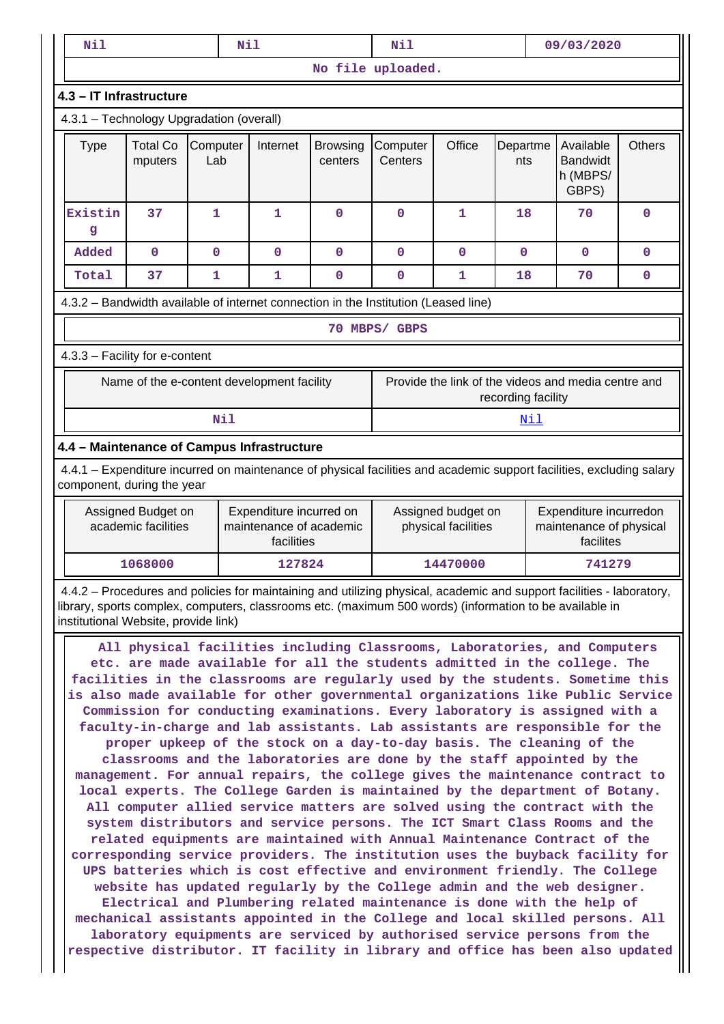| Nil                                                                                                                                                                                                                                                                                                                                                                                                                                                                                                                                                                                                                                                                                                                                                                                                                                                                                                                                                                                                                                                                                                                                                                                                                                                                                                                                                                            |                                                                                                                                                                                                                              | Nil             |              |                            | Nil                 |          |                 | 09/03/2020                                        |               |  |
|--------------------------------------------------------------------------------------------------------------------------------------------------------------------------------------------------------------------------------------------------------------------------------------------------------------------------------------------------------------------------------------------------------------------------------------------------------------------------------------------------------------------------------------------------------------------------------------------------------------------------------------------------------------------------------------------------------------------------------------------------------------------------------------------------------------------------------------------------------------------------------------------------------------------------------------------------------------------------------------------------------------------------------------------------------------------------------------------------------------------------------------------------------------------------------------------------------------------------------------------------------------------------------------------------------------------------------------------------------------------------------|------------------------------------------------------------------------------------------------------------------------------------------------------------------------------------------------------------------------------|-----------------|--------------|----------------------------|---------------------|----------|-----------------|---------------------------------------------------|---------------|--|
|                                                                                                                                                                                                                                                                                                                                                                                                                                                                                                                                                                                                                                                                                                                                                                                                                                                                                                                                                                                                                                                                                                                                                                                                                                                                                                                                                                                |                                                                                                                                                                                                                              |                 |              |                            | No file uploaded.   |          |                 |                                                   |               |  |
| 4.3 - IT Infrastructure                                                                                                                                                                                                                                                                                                                                                                                                                                                                                                                                                                                                                                                                                                                                                                                                                                                                                                                                                                                                                                                                                                                                                                                                                                                                                                                                                        |                                                                                                                                                                                                                              |                 |              |                            |                     |          |                 |                                                   |               |  |
| 4.3.1 - Technology Upgradation (overall)                                                                                                                                                                                                                                                                                                                                                                                                                                                                                                                                                                                                                                                                                                                                                                                                                                                                                                                                                                                                                                                                                                                                                                                                                                                                                                                                       |                                                                                                                                                                                                                              |                 |              |                            |                     |          |                 |                                                   |               |  |
| <b>Type</b>                                                                                                                                                                                                                                                                                                                                                                                                                                                                                                                                                                                                                                                                                                                                                                                                                                                                                                                                                                                                                                                                                                                                                                                                                                                                                                                                                                    | <b>Total Co</b><br>mputers                                                                                                                                                                                                   | Computer<br>Lab | Internet     | <b>Browsing</b><br>centers | Computer<br>Centers | Office   | Departme<br>nts | Available<br><b>Bandwidt</b><br>h (MBPS/<br>GBPS) | <b>Others</b> |  |
| Existin<br>$\mathbf{g}$                                                                                                                                                                                                                                                                                                                                                                                                                                                                                                                                                                                                                                                                                                                                                                                                                                                                                                                                                                                                                                                                                                                                                                                                                                                                                                                                                        | 37                                                                                                                                                                                                                           | 1               | 1            | 0                          | $\mathbf 0$         | 1        | 18              | 70                                                | 0             |  |
| Added                                                                                                                                                                                                                                                                                                                                                                                                                                                                                                                                                                                                                                                                                                                                                                                                                                                                                                                                                                                                                                                                                                                                                                                                                                                                                                                                                                          | $\mathbf 0$                                                                                                                                                                                                                  | $\mathbf 0$     | $\mathbf{0}$ | $\mathbf 0$                | $\mathbf{O}$        | 0        | $\mathbf{0}$    | $\mathbf 0$                                       | $\mathbf 0$   |  |
| Total                                                                                                                                                                                                                                                                                                                                                                                                                                                                                                                                                                                                                                                                                                                                                                                                                                                                                                                                                                                                                                                                                                                                                                                                                                                                                                                                                                          | 37                                                                                                                                                                                                                           | 1               | 1            | $\mathbf 0$                | $\mathbf 0$         | 1        | 18              | 70                                                | 0             |  |
| 4.3.2 - Bandwidth available of internet connection in the Institution (Leased line)                                                                                                                                                                                                                                                                                                                                                                                                                                                                                                                                                                                                                                                                                                                                                                                                                                                                                                                                                                                                                                                                                                                                                                                                                                                                                            |                                                                                                                                                                                                                              |                 |              |                            |                     |          |                 |                                                   |               |  |
| 70 MBPS/ GBPS                                                                                                                                                                                                                                                                                                                                                                                                                                                                                                                                                                                                                                                                                                                                                                                                                                                                                                                                                                                                                                                                                                                                                                                                                                                                                                                                                                  |                                                                                                                                                                                                                              |                 |              |                            |                     |          |                 |                                                   |               |  |
| 4.3.3 - Facility for e-content                                                                                                                                                                                                                                                                                                                                                                                                                                                                                                                                                                                                                                                                                                                                                                                                                                                                                                                                                                                                                                                                                                                                                                                                                                                                                                                                                 |                                                                                                                                                                                                                              |                 |              |                            |                     |          |                 |                                                   |               |  |
|                                                                                                                                                                                                                                                                                                                                                                                                                                                                                                                                                                                                                                                                                                                                                                                                                                                                                                                                                                                                                                                                                                                                                                                                                                                                                                                                                                                | Provide the link of the videos and media centre and<br>Name of the e-content development facility<br>recording facility                                                                                                      |                 |              |                            |                     |          |                 |                                                   |               |  |
|                                                                                                                                                                                                                                                                                                                                                                                                                                                                                                                                                                                                                                                                                                                                                                                                                                                                                                                                                                                                                                                                                                                                                                                                                                                                                                                                                                                |                                                                                                                                                                                                                              | Nil             |              |                            |                     |          | <b>Nil</b>      |                                                   |               |  |
| 4.4 - Maintenance of Campus Infrastructure                                                                                                                                                                                                                                                                                                                                                                                                                                                                                                                                                                                                                                                                                                                                                                                                                                                                                                                                                                                                                                                                                                                                                                                                                                                                                                                                     |                                                                                                                                                                                                                              |                 |              |                            |                     |          |                 |                                                   |               |  |
| 4.4.1 – Expenditure incurred on maintenance of physical facilities and academic support facilities, excluding salary<br>component, during the year                                                                                                                                                                                                                                                                                                                                                                                                                                                                                                                                                                                                                                                                                                                                                                                                                                                                                                                                                                                                                                                                                                                                                                                                                             |                                                                                                                                                                                                                              |                 |              |                            |                     |          |                 |                                                   |               |  |
|                                                                                                                                                                                                                                                                                                                                                                                                                                                                                                                                                                                                                                                                                                                                                                                                                                                                                                                                                                                                                                                                                                                                                                                                                                                                                                                                                                                | Expenditure incurred on<br>Expenditure incurredon<br>Assigned Budget on<br>Assigned budget on<br>maintenance of academic<br>academic facilities<br>physical facilities<br>maintenance of physical<br>facilities<br>facilites |                 |              |                            |                     |          |                 |                                                   |               |  |
|                                                                                                                                                                                                                                                                                                                                                                                                                                                                                                                                                                                                                                                                                                                                                                                                                                                                                                                                                                                                                                                                                                                                                                                                                                                                                                                                                                                | 1068000                                                                                                                                                                                                                      |                 | 127824       |                            |                     | 14470000 |                 | 741279                                            |               |  |
| 4.4.2 – Procedures and policies for maintaining and utilizing physical, academic and support facilities - laboratory,<br>library, sports complex, computers, classrooms etc. (maximum 500 words) (information to be available in<br>institutional Website, provide link)                                                                                                                                                                                                                                                                                                                                                                                                                                                                                                                                                                                                                                                                                                                                                                                                                                                                                                                                                                                                                                                                                                       |                                                                                                                                                                                                                              |                 |              |                            |                     |          |                 |                                                   |               |  |
| All physical facilities including Classrooms, Laboratories, and Computers<br>etc. are made available for all the students admitted in the college. The<br>facilities in the classrooms are regularly used by the students. Sometime this<br>is also made available for other governmental organizations like Public Service<br>Commission for conducting examinations. Every laboratory is assigned with a<br>faculty-in-charge and lab assistants. Lab assistants are responsible for the<br>proper upkeep of the stock on a day-to-day basis. The cleaning of the<br>classrooms and the laboratories are done by the staff appointed by the<br>management. For annual repairs, the college gives the maintenance contract to<br>local experts. The College Garden is maintained by the department of Botany.<br>All computer allied service matters are solved using the contract with the<br>system distributors and service persons. The ICT Smart Class Rooms and the<br>related equipments are maintained with Annual Maintenance Contract of the<br>corresponding service providers. The institution uses the buyback facility for<br>UPS batteries which is cost effective and environment friendly. The College<br>website has updated regularly by the College admin and the web designer.<br>Electrical and Plumbering related maintenance is done with the help of |                                                                                                                                                                                                                              |                 |              |                            |                     |          |                 |                                                   |               |  |

**mechanical assistants appointed in the College and local skilled persons. All laboratory equipments are serviced by authorised service persons from the respective distributor. IT facility in library and office has been also updated**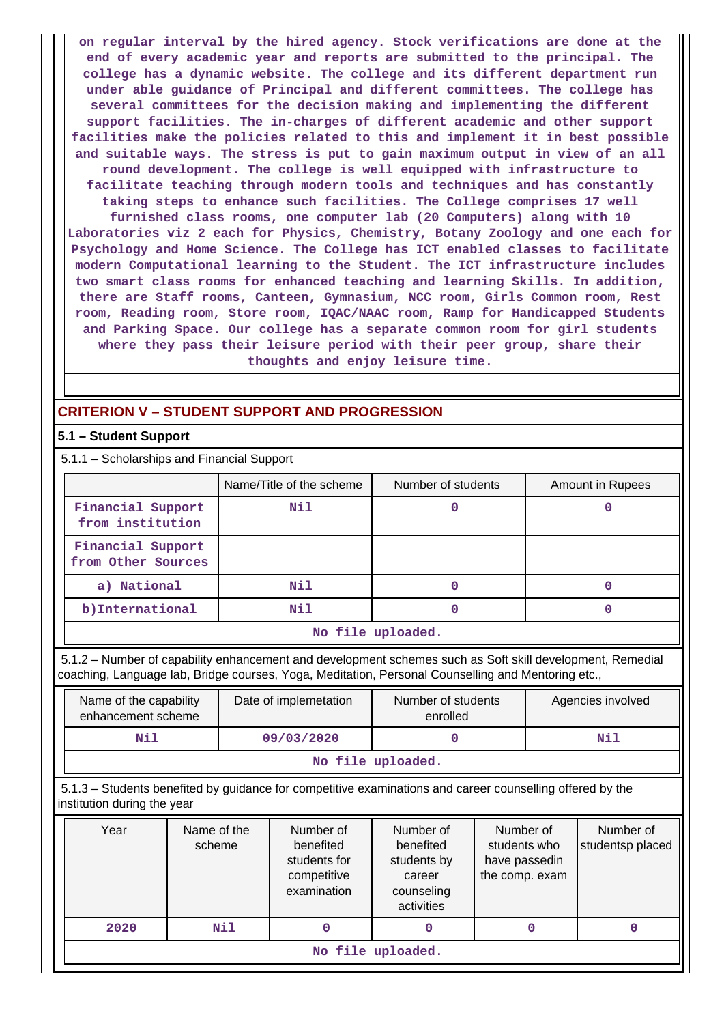**on regular interval by the hired agency. Stock verifications are done at the end of every academic year and reports are submitted to the principal. The college has a dynamic website. The college and its different department run under able guidance of Principal and different committees. The college has several committees for the decision making and implementing the different support facilities. The in-charges of different academic and other support facilities make the policies related to this and implement it in best possible and suitable ways. The stress is put to gain maximum output in view of an all round development. The college is well equipped with infrastructure to facilitate teaching through modern tools and techniques and has constantly taking steps to enhance such facilities. The College comprises 17 well**

**furnished class rooms, one computer lab (20 Computers) along with 10 Laboratories viz 2 each for Physics, Chemistry, Botany Zoology and one each for Psychology and Home Science. The College has ICT enabled classes to facilitate modern Computational learning to the Student. The ICT infrastructure includes two smart class rooms for enhanced teaching and learning Skills. In addition, there are Staff rooms, Canteen, Gymnasium, NCC room, Girls Common room, Rest room, Reading room, Store room, IQAC/NAAC room, Ramp for Handicapped Students and Parking Space. Our college has a separate common room for girl students where they pass their leisure period with their peer group, share their thoughts and enjoy leisure time.**

# **CRITERION V – STUDENT SUPPORT AND PROGRESSION**

### **5.1 – Student Support**

5.1.1 – Scholarships and Financial Support

|                                         | Name/Title of the scheme | Number of students | Amount in Rupees |
|-----------------------------------------|--------------------------|--------------------|------------------|
| Financial Support<br>from institution   | Nil                      |                    |                  |
| Financial Support<br>from Other Sources |                          |                    |                  |
| a) National                             | Nil                      |                    |                  |
| b) International                        | Nil                      |                    |                  |

#### **No file uploaded.**

 5.1.2 – Number of capability enhancement and development schemes such as Soft skill development, Remedial coaching, Language lab, Bridge courses, Yoga, Meditation, Personal Counselling and Mentoring etc.,

| Name of the capability<br>enhancement scheme | Date of implemetation | Number of students<br>enrolled | Agencies involved |  |  |  |  |  |
|----------------------------------------------|-----------------------|--------------------------------|-------------------|--|--|--|--|--|
| Nil<br>Nil<br>09/03/2020                     |                       |                                |                   |  |  |  |  |  |
| No file uploaded.                            |                       |                                |                   |  |  |  |  |  |

 5.1.3 – Students benefited by guidance for competitive examinations and career counselling offered by the institution during the year

|                            | Year              | Name of the<br>scheme | Number of<br>benefited<br>students for<br>competitive<br>examination | Number of<br>benefited<br>students by<br>career<br>counseling<br>activities | Number of<br>students who<br>have passedin<br>the comp. exam | Number of<br>studentsp placed |  |  |  |  |
|----------------------------|-------------------|-----------------------|----------------------------------------------------------------------|-----------------------------------------------------------------------------|--------------------------------------------------------------|-------------------------------|--|--|--|--|
| Nil<br>2020<br>0<br>0<br>0 |                   |                       |                                                                      |                                                                             |                                                              |                               |  |  |  |  |
|                            | No file uploaded. |                       |                                                                      |                                                                             |                                                              |                               |  |  |  |  |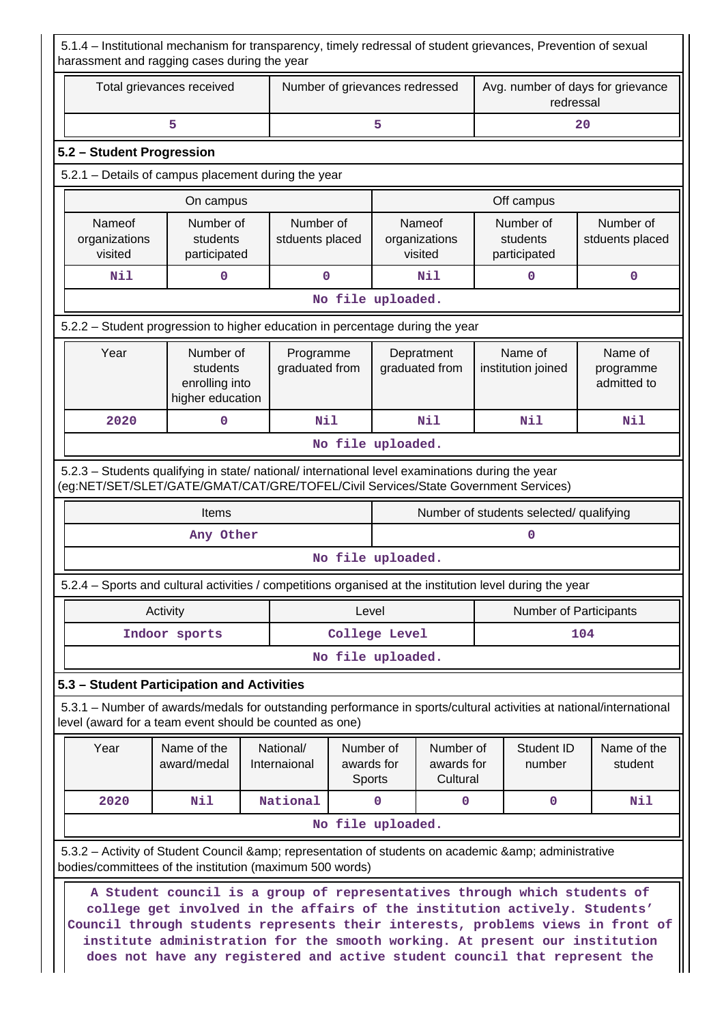5.1.4 – Institutional mechanism for transparency, timely redressal of student grievances, Prevention of sexual harassment and ragging cases during the year

| Total grievances received          |                                                                                                                                                                                        |                              | Number of grievances redressed                                              |             |                                     | Avg. number of days for grievance<br>redressal |                                                        |                                     |  |
|------------------------------------|----------------------------------------------------------------------------------------------------------------------------------------------------------------------------------------|------------------------------|-----------------------------------------------------------------------------|-------------|-------------------------------------|------------------------------------------------|--------------------------------------------------------|-------------------------------------|--|
|                                    | 5                                                                                                                                                                                      |                              |                                                                             | 5           |                                     |                                                |                                                        | 20                                  |  |
| 5.2 - Student Progression          |                                                                                                                                                                                        |                              |                                                                             |             |                                     |                                                |                                                        |                                     |  |
|                                    | 5.2.1 - Details of campus placement during the year                                                                                                                                    |                              |                                                                             |             |                                     |                                                |                                                        |                                     |  |
|                                    | On campus                                                                                                                                                                              |                              |                                                                             |             |                                     | Off campus                                     |                                                        |                                     |  |
| Nameof<br>organizations<br>visited | Number of<br>students<br>participated                                                                                                                                                  | Number of<br>stduents placed | Number of<br>Nameof<br>organizations<br>students<br>visited<br>participated |             | Number of<br>stduents placed        |                                                |                                                        |                                     |  |
| Nil                                | 0                                                                                                                                                                                      | $\mathbf 0$                  |                                                                             |             | Nil                                 |                                                | 0                                                      | 0                                   |  |
|                                    |                                                                                                                                                                                        |                              | No file uploaded.                                                           |             |                                     |                                                |                                                        |                                     |  |
|                                    | 5.2.2 – Student progression to higher education in percentage during the year                                                                                                          |                              |                                                                             |             |                                     |                                                |                                                        |                                     |  |
| Year                               | Number of<br>students<br>enrolling into<br>higher education                                                                                                                            | Programme<br>graduated from  |                                                                             |             | Depratment<br>graduated from        |                                                | Name of<br>institution joined                          | Name of<br>programme<br>admitted to |  |
| 2020                               | 0                                                                                                                                                                                      | Nil                          |                                                                             |             | Nil                                 |                                                | Nil                                                    | Nil                                 |  |
|                                    |                                                                                                                                                                                        |                              | No file uploaded.                                                           |             |                                     |                                                |                                                        |                                     |  |
|                                    | 5.2.3 - Students qualifying in state/ national/ international level examinations during the year<br>(eg:NET/SET/SLET/GATE/GMAT/CAT/GRE/TOFEL/Civil Services/State Government Services) |                              |                                                                             |             |                                     |                                                |                                                        |                                     |  |
|                                    | Items<br>Any Other                                                                                                                                                                     |                              |                                                                             |             |                                     |                                                | Number of students selected/ qualifying<br>$\mathbf 0$ |                                     |  |
|                                    |                                                                                                                                                                                        |                              | No file uploaded.                                                           |             |                                     |                                                |                                                        |                                     |  |
|                                    | 5.2.4 - Sports and cultural activities / competitions organised at the institution level during the year                                                                               |                              |                                                                             |             |                                     |                                                |                                                        |                                     |  |
|                                    |                                                                                                                                                                                        |                              |                                                                             |             |                                     |                                                |                                                        |                                     |  |
|                                    | Activity                                                                                                                                                                               |                              | Level                                                                       |             |                                     |                                                | <b>Number of Participants</b>                          |                                     |  |
|                                    | Indoor sports                                                                                                                                                                          |                              | College Level                                                               |             |                                     |                                                |                                                        | 104                                 |  |
|                                    |                                                                                                                                                                                        |                              | No file uploaded.                                                           |             |                                     |                                                |                                                        |                                     |  |
|                                    | 5.3 - Student Participation and Activities                                                                                                                                             |                              |                                                                             |             |                                     |                                                |                                                        |                                     |  |
|                                    | 5.3.1 – Number of awards/medals for outstanding performance in sports/cultural activities at national/international<br>level (award for a team event should be counted as one)         |                              |                                                                             |             |                                     |                                                |                                                        |                                     |  |
| Year                               | Name of the<br>award/medal                                                                                                                                                             | National/<br>Internaional    | Number of<br>awards for<br>Sports                                           |             | Number of<br>awards for<br>Cultural | Student ID<br>number                           |                                                        | Name of the<br>student              |  |
| 2020                               | Nil                                                                                                                                                                                    | National                     |                                                                             | $\mathbf 0$ | 0                                   |                                                | 0                                                      | Nil                                 |  |
|                                    |                                                                                                                                                                                        |                              | No file uploaded.                                                           |             |                                     |                                                |                                                        |                                     |  |
|                                    | 5.3.2 - Activity of Student Council & amp; representation of students on academic & amp; administrative<br>bodies/committees of the institution (maximum 500 words)                    |                              |                                                                             |             |                                     |                                                |                                                        |                                     |  |
|                                    | A Student council is a group of representatives through which students of<br>college get involved in the affairs of the institution actively. Students'                                |                              |                                                                             |             |                                     |                                                |                                                        |                                     |  |

**institute administration for the smooth working. At present our institution does not have any registered and active student council that represent the**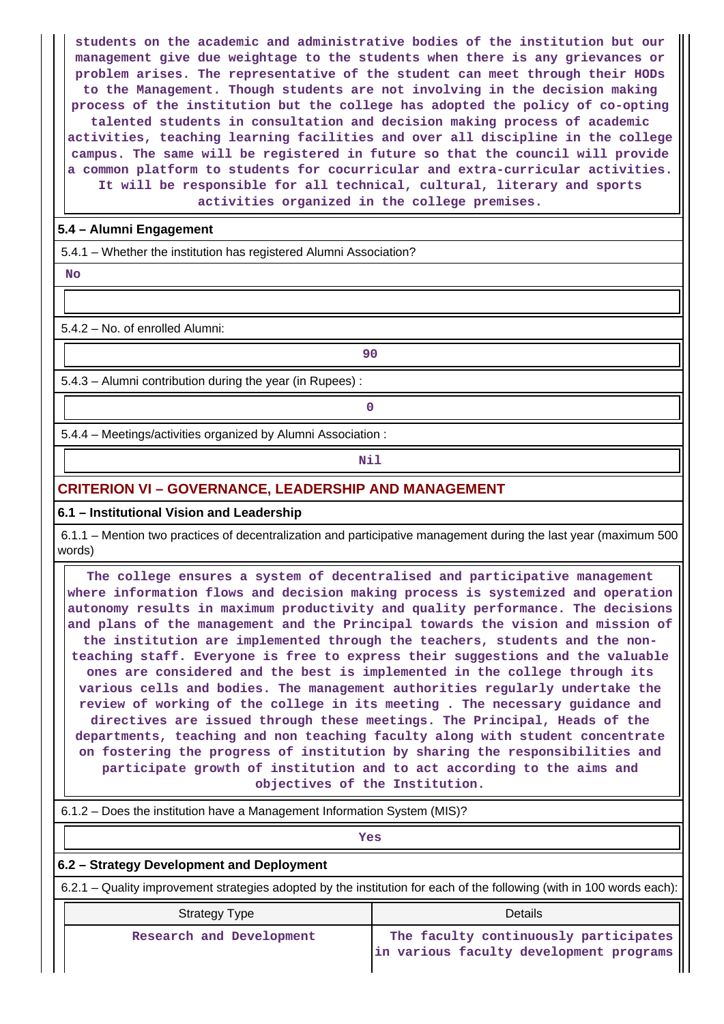**students on the academic and administrative bodies of the institution but our management give due weightage to the students when there is any grievances or problem arises. The representative of the student can meet through their HODs to the Management. Though students are not involving in the decision making process of the institution but the college has adopted the policy of co-opting talented students in consultation and decision making process of academic activities, teaching learning facilities and over all discipline in the college campus. The same will be registered in future so that the council will provide a common platform to students for cocurricular and extra-curricular activities. It will be responsible for all technical, cultural, literary and sports activities organized in the college premises.**

## **5.4 – Alumni Engagement**

5.4.1 – Whether the institution has registered Alumni Association?

 **No**

5.4.2 – No. of enrolled Alumni:

 **90** 5.4.3 – Alumni contribution during the year (in Rupees) :

**0**

5.4.4 – Meetings/activities organized by Alumni Association :

**Nil** 

## **CRITERION VI – GOVERNANCE, LEADERSHIP AND MANAGEMENT**

## **6.1 – Institutional Vision and Leadership**

 6.1.1 – Mention two practices of decentralization and participative management during the last year (maximum 500 words)

 **The college ensures a system of decentralised and participative management where information flows and decision making process is systemized and operation autonomy results in maximum productivity and quality performance. The decisions and plans of the management and the Principal towards the vision and mission of the institution are implemented through the teachers, students and the nonteaching staff. Everyone is free to express their suggestions and the valuable ones are considered and the best is implemented in the college through its various cells and bodies. The management authorities regularly undertake the review of working of the college in its meeting . The necessary guidance and directives are issued through these meetings. The Principal, Heads of the departments, teaching and non teaching faculty along with student concentrate on fostering the progress of institution by sharing the responsibilities and participate growth of institution and to act according to the aims and objectives of the Institution.**

6.1.2 – Does the institution have a Management Information System (MIS)?

*Yes* 

## **6.2 – Strategy Development and Deployment**

6.2.1 – Quality improvement strategies adopted by the institution for each of the following (with in 100 words each):

| <b>Strategy Type</b>     | Details                                 |  |  |  |  |  |
|--------------------------|-----------------------------------------|--|--|--|--|--|
| Research and Development | The faculty continuously participates   |  |  |  |  |  |
|                          | in various faculty development programs |  |  |  |  |  |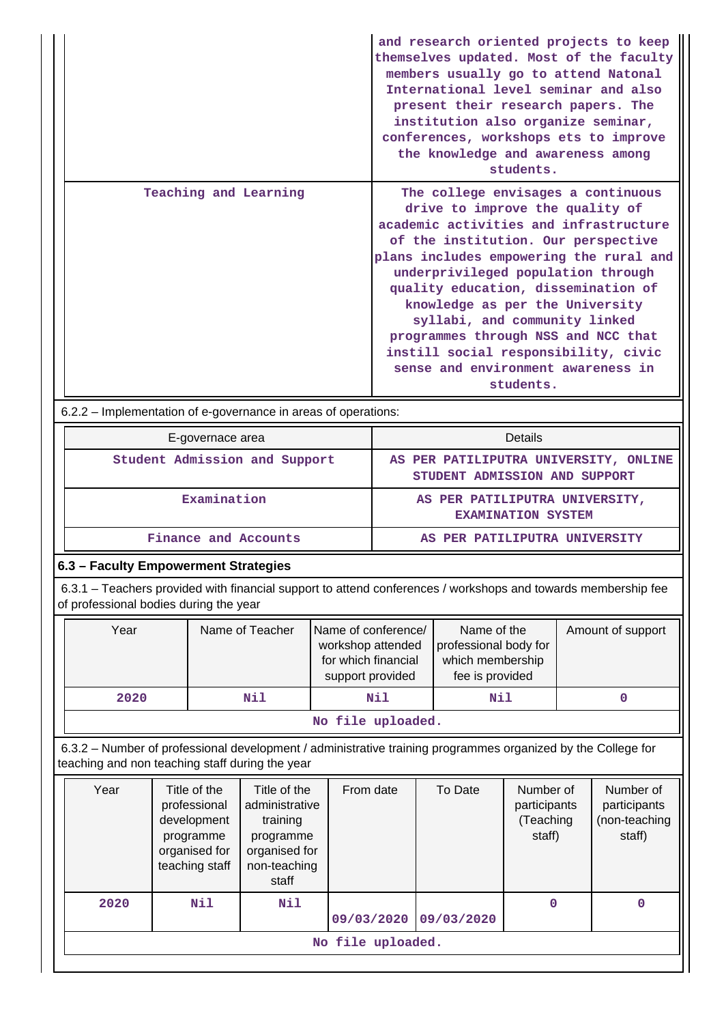|                       | and research oriented projects to keep<br>themselves updated. Most of the faculty<br>members usually go to attend Natonal<br>International level seminar and also<br>present their research papers. The<br>institution also organize seminar,<br>conferences, workshops ets to improve<br>the knowledge and awareness among<br>students.                                                                                                                                             |
|-----------------------|--------------------------------------------------------------------------------------------------------------------------------------------------------------------------------------------------------------------------------------------------------------------------------------------------------------------------------------------------------------------------------------------------------------------------------------------------------------------------------------|
| Teaching and Learning | The college envisages a continuous<br>drive to improve the quality of<br>academic activities and infrastructure<br>of the institution. Our perspective<br>plans includes empowering the rural and<br>underprivileged population through<br>quality education, dissemination of<br>knowledge as per the University<br>syllabi, and community linked<br>programmes through NSS and NCC that<br>instill social responsibility, civic<br>sense and environment awareness in<br>students. |

6.2.2 – Implementation of e-governance in areas of operations:

| E-governace area              | Details                                                                |  |  |  |  |
|-------------------------------|------------------------------------------------------------------------|--|--|--|--|
| Student Admission and Support | AS PER PATILIPUTRA UNIVERSITY, ONLINE<br>STUDENT ADMISSION AND SUPPORT |  |  |  |  |
| Examination                   | AS PER PATILIPUTRA UNIVERSITY,<br><b>EXAMINATION SYSTEM</b>            |  |  |  |  |
| Finance and Accounts          | AS PER PATILIPUTRA UNIVERSITY                                          |  |  |  |  |

# **6.3 – Faculty Empowerment Strategies**

 6.3.1 – Teachers provided with financial support to attend conferences / workshops and towards membership fee of professional bodies during the year

| Year | Name of Teacher | Name of conference/<br>workshop attended<br>for which financial<br>support provided | Name of the<br>professional body for<br>which membership<br>fee is provided | Amount of support |  |  |  |  |  |
|------|-----------------|-------------------------------------------------------------------------------------|-----------------------------------------------------------------------------|-------------------|--|--|--|--|--|
| 2020 | Nil             | Nil                                                                                 | Nil                                                                         |                   |  |  |  |  |  |
|      | .               |                                                                                     |                                                                             |                   |  |  |  |  |  |

### **No file uploaded.**

 6.3.2 – Number of professional development / administrative training programmes organized by the College for teaching and non teaching staff during the year

| Year | Title of the<br>professional<br>development<br>programme<br>organised for<br>teaching staff | Title of the<br>administrative<br>training<br>programme<br>organised for<br>non-teaching<br>staff | From date  | To Date    | Number of<br>participants<br>(Teaching<br>staff) | Number of<br>participants<br>(non-teaching<br>staff) |  |  |  |
|------|---------------------------------------------------------------------------------------------|---------------------------------------------------------------------------------------------------|------------|------------|--------------------------------------------------|------------------------------------------------------|--|--|--|
| 2020 | Nil                                                                                         | Nil                                                                                               | 09/03/2020 | 09/03/2020 | 0                                                | 0                                                    |  |  |  |
|      | No file uploaded.                                                                           |                                                                                                   |            |            |                                                  |                                                      |  |  |  |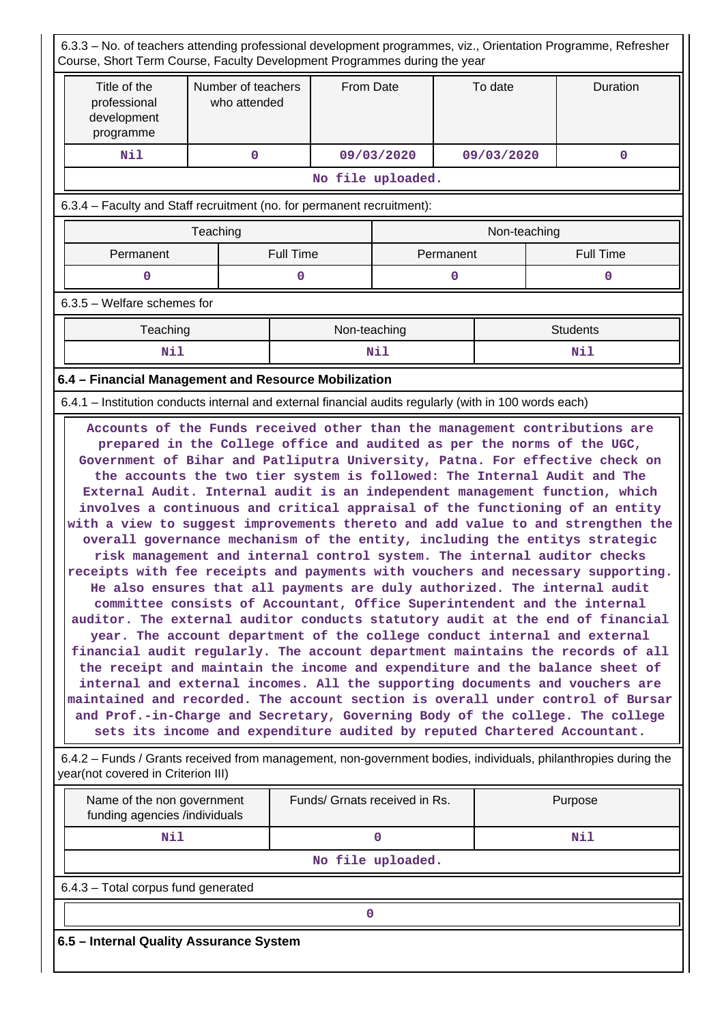6.3.3 – No. of teachers attending professional development programmes, viz., Orientation Programme, Refresher Course, Short Term Course, Faculty Development Programmes during the year Title of the professional development programme Number of teachers who attended From Date  $\overline{ }$  To date  $\overline{ }$  Duration  **Nil 0 09/03/2020 09/03/2020 0 No file uploaded.** 6.3.4 – Faculty and Staff recruitment (no. for permanent recruitment): Teaching Non-teaching Non-teaching Permanent | Full Time | Permanent | Full Time **0** 0 0 0 0 0 0 6.3.5 – Welfare schemes for **Teaching Teaching Reserve All Students** Non-teaching Non-teaching Non-teaching Students  **Nil Nil Nil 6.4 – Financial Management and Resource Mobilization** 6.4.1 – Institution conducts internal and external financial audits regularly (with in 100 words each) **Accounts of the Funds received other than the management contributions are prepared in the College office and audited as per the norms of the UGC, Government of Bihar and Patliputra University, Patna. For effective check on the accounts the two tier system is followed: The Internal Audit and The External Audit. Internal audit is an independent management function, which involves a continuous and critical appraisal of the functioning of an entity with a view to suggest improvements thereto and add value to and strengthen the overall governance mechanism of the entity, including the entitys strategic risk management and internal control system. The internal auditor checks receipts with fee receipts and payments with vouchers and necessary supporting. He also ensures that all payments are duly authorized. The internal audit committee consists of Accountant, Office Superintendent and the internal auditor. The external auditor conducts statutory audit at the end of financial year. The account department of the college conduct internal and external financial audit regularly. The account department maintains the records of all the receipt and maintain the income and expenditure and the balance sheet of internal and external incomes. All the supporting documents and vouchers are maintained and recorded. The account section is overall under control of Bursar and Prof.-in-Charge and Secretary, Governing Body of the college. The college sets its income and expenditure audited by reputed Chartered Accountant.** 6.4.2 – Funds / Grants received from management, non-government bodies, individuals, philanthropies during the year(not covered in Criterion III) Name of the non government funding agencies /individuals Funds/ Grnats received in Rs. | Purpose  **Nil 0 Nil**

**No file uploaded.**

6.4.3 – Total corpus fund generated

**0**

**6.5 – Internal Quality Assurance System**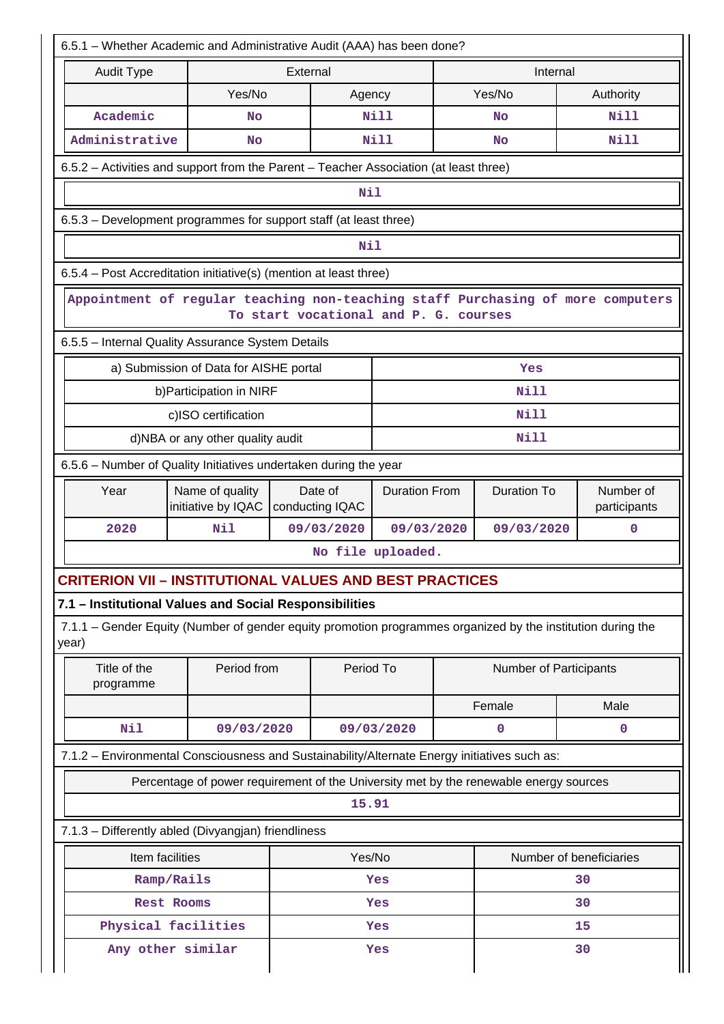| 6.5.1 - Whether Academic and Administrative Audit (AAA) has been done?                                               |                                                                                       |          |                            |                                       |  |                        |  |                           |  |  |  |
|----------------------------------------------------------------------------------------------------------------------|---------------------------------------------------------------------------------------|----------|----------------------------|---------------------------------------|--|------------------------|--|---------------------------|--|--|--|
| <b>Audit Type</b>                                                                                                    |                                                                                       | External |                            |                                       |  | Internal               |  |                           |  |  |  |
|                                                                                                                      | Yes/No                                                                                |          | Agency                     |                                       |  | Yes/No                 |  | Authority                 |  |  |  |
| Academic                                                                                                             | No                                                                                    |          |                            | Nill                                  |  | No                     |  | Nill                      |  |  |  |
| Administrative                                                                                                       | <b>No</b>                                                                             |          |                            | <b>Nill</b>                           |  | No                     |  | Nill                      |  |  |  |
| 6.5.2 - Activities and support from the Parent - Teacher Association (at least three)                                |                                                                                       |          |                            |                                       |  |                        |  |                           |  |  |  |
|                                                                                                                      |                                                                                       |          | Nil                        |                                       |  |                        |  |                           |  |  |  |
|                                                                                                                      | 6.5.3 - Development programmes for support staff (at least three)                     |          |                            |                                       |  |                        |  |                           |  |  |  |
|                                                                                                                      |                                                                                       |          | Nil                        |                                       |  |                        |  |                           |  |  |  |
| 6.5.4 – Post Accreditation initiative(s) (mention at least three)                                                    |                                                                                       |          |                            |                                       |  |                        |  |                           |  |  |  |
| Appointment of regular teaching non-teaching staff Purchasing of more computers                                      |                                                                                       |          |                            | To start vocational and P. G. courses |  |                        |  |                           |  |  |  |
| 6.5.5 - Internal Quality Assurance System Details                                                                    |                                                                                       |          |                            |                                       |  |                        |  |                           |  |  |  |
|                                                                                                                      | a) Submission of Data for AISHE portal                                                |          |                            |                                       |  | Yes                    |  |                           |  |  |  |
|                                                                                                                      | b) Participation in NIRF                                                              |          |                            |                                       |  | Nill                   |  |                           |  |  |  |
|                                                                                                                      | c)ISO certification                                                                   |          |                            |                                       |  | Nill                   |  |                           |  |  |  |
|                                                                                                                      | d)NBA or any other quality audit                                                      |          |                            |                                       |  | Nill                   |  |                           |  |  |  |
| 6.5.6 – Number of Quality Initiatives undertaken during the year                                                     |                                                                                       |          |                            |                                       |  |                        |  |                           |  |  |  |
| Year                                                                                                                 | Name of quality<br>initiative by IQAC                                                 |          | Date of<br>conducting IQAC | <b>Duration From</b>                  |  | Duration To            |  | Number of<br>participants |  |  |  |
| 2020                                                                                                                 | Nil                                                                                   |          | 09/03/2020                 | 09/03/2020                            |  | 09/03/2020             |  | $\mathbf 0$               |  |  |  |
|                                                                                                                      |                                                                                       |          |                            | No file uploaded.                     |  |                        |  |                           |  |  |  |
| CRITERION VII – INSTITUTIONAL VALUES AND BEST PRACTICES                                                              |                                                                                       |          |                            |                                       |  |                        |  |                           |  |  |  |
| 7.1 - Institutional Values and Social Responsibilities                                                               |                                                                                       |          |                            |                                       |  |                        |  |                           |  |  |  |
| 7.1.1 – Gender Equity (Number of gender equity promotion programmes organized by the institution during the<br>year) |                                                                                       |          |                            |                                       |  |                        |  |                           |  |  |  |
| Title of the<br>programme                                                                                            | Period from                                                                           |          | Period To                  |                                       |  | Number of Participants |  |                           |  |  |  |
|                                                                                                                      |                                                                                       |          |                            |                                       |  | Female                 |  | Male                      |  |  |  |
| Nil                                                                                                                  | 09/03/2020                                                                            |          |                            | 09/03/2020                            |  | 0                      |  | $\mathbf 0$               |  |  |  |
| 7.1.2 - Environmental Consciousness and Sustainability/Alternate Energy initiatives such as:                         |                                                                                       |          |                            |                                       |  |                        |  |                           |  |  |  |
|                                                                                                                      | Percentage of power requirement of the University met by the renewable energy sources |          |                            |                                       |  |                        |  |                           |  |  |  |
|                                                                                                                      |                                                                                       |          | 15.91                      |                                       |  |                        |  |                           |  |  |  |
| 7.1.3 - Differently abled (Divyangjan) friendliness                                                                  |                                                                                       |          |                            |                                       |  |                        |  |                           |  |  |  |
| Item facilities                                                                                                      |                                                                                       |          | Yes/No                     |                                       |  |                        |  | Number of beneficiaries   |  |  |  |
|                                                                                                                      | Ramp/Rails                                                                            |          |                            | Yes                                   |  | 30                     |  |                           |  |  |  |
|                                                                                                                      | <b>Rest Rooms</b>                                                                     |          |                            | Yes                                   |  | 30                     |  |                           |  |  |  |
|                                                                                                                      | Physical facilities                                                                   |          |                            | Yes                                   |  | 15                     |  |                           |  |  |  |
|                                                                                                                      | Any other similar                                                                     |          |                            | Yes                                   |  |                        |  | 30                        |  |  |  |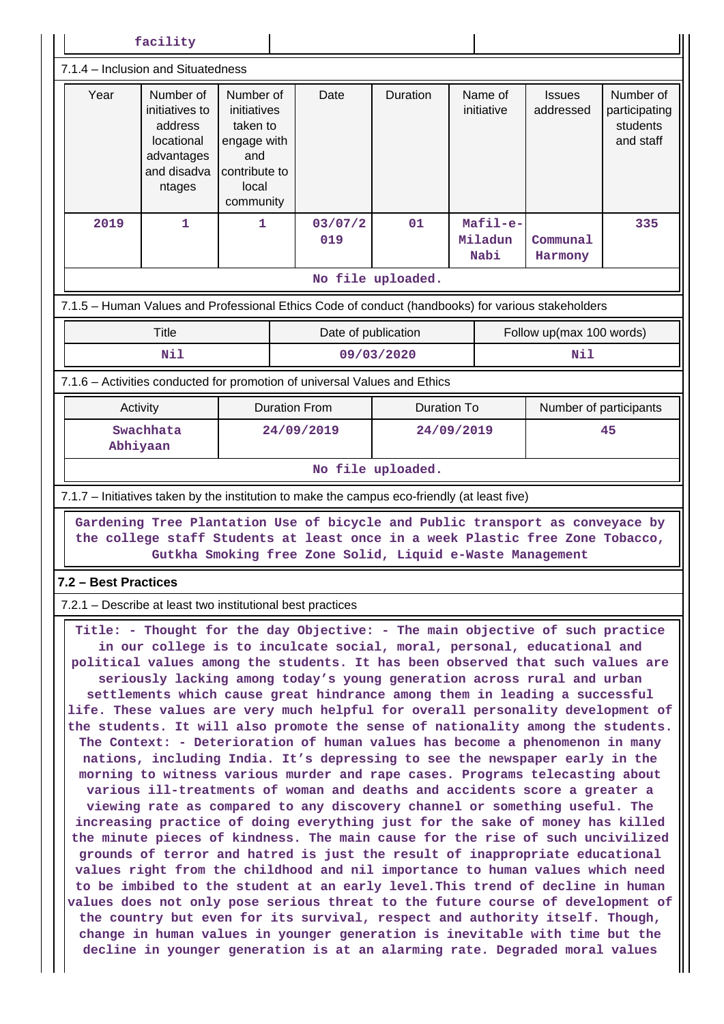| facility                                                                                                                                                                                                                                                                                                                                                                                                                                                                                                                                                                                                                                                                                                                                                                                                                                                                                                                                                                                                                                                                                                                                                                                                                                                                                                                                                                                                                                                                                                                                                                                                                                                                                                                                     |                                                                                             |                                                                                                   |                                                                                                   |                    |                             |                            |                                                     |
|----------------------------------------------------------------------------------------------------------------------------------------------------------------------------------------------------------------------------------------------------------------------------------------------------------------------------------------------------------------------------------------------------------------------------------------------------------------------------------------------------------------------------------------------------------------------------------------------------------------------------------------------------------------------------------------------------------------------------------------------------------------------------------------------------------------------------------------------------------------------------------------------------------------------------------------------------------------------------------------------------------------------------------------------------------------------------------------------------------------------------------------------------------------------------------------------------------------------------------------------------------------------------------------------------------------------------------------------------------------------------------------------------------------------------------------------------------------------------------------------------------------------------------------------------------------------------------------------------------------------------------------------------------------------------------------------------------------------------------------------|---------------------------------------------------------------------------------------------|---------------------------------------------------------------------------------------------------|---------------------------------------------------------------------------------------------------|--------------------|-----------------------------|----------------------------|-----------------------------------------------------|
|                                                                                                                                                                                                                                                                                                                                                                                                                                                                                                                                                                                                                                                                                                                                                                                                                                                                                                                                                                                                                                                                                                                                                                                                                                                                                                                                                                                                                                                                                                                                                                                                                                                                                                                                              | 7.1.4 - Inclusion and Situatedness                                                          |                                                                                                   |                                                                                                   |                    |                             |                            |                                                     |
| Year                                                                                                                                                                                                                                                                                                                                                                                                                                                                                                                                                                                                                                                                                                                                                                                                                                                                                                                                                                                                                                                                                                                                                                                                                                                                                                                                                                                                                                                                                                                                                                                                                                                                                                                                         | Number of<br>initiatives to<br>address<br>locational<br>advantages<br>and disadva<br>ntages | Number of<br>initiatives<br>taken to<br>engage with<br>and<br>contribute to<br>local<br>community | Date                                                                                              | Duration           | Name of<br>initiative       | <b>Issues</b><br>addressed | Number of<br>participating<br>students<br>and staff |
| 2019                                                                                                                                                                                                                                                                                                                                                                                                                                                                                                                                                                                                                                                                                                                                                                                                                                                                                                                                                                                                                                                                                                                                                                                                                                                                                                                                                                                                                                                                                                                                                                                                                                                                                                                                         | 1                                                                                           | 1                                                                                                 | 03/07/2<br>019                                                                                    | 01                 | Mafil-e-<br>Miladun<br>Nabi | Communal<br>Harmony        | 335                                                 |
|                                                                                                                                                                                                                                                                                                                                                                                                                                                                                                                                                                                                                                                                                                                                                                                                                                                                                                                                                                                                                                                                                                                                                                                                                                                                                                                                                                                                                                                                                                                                                                                                                                                                                                                                              |                                                                                             |                                                                                                   |                                                                                                   | No file uploaded.  |                             |                            |                                                     |
|                                                                                                                                                                                                                                                                                                                                                                                                                                                                                                                                                                                                                                                                                                                                                                                                                                                                                                                                                                                                                                                                                                                                                                                                                                                                                                                                                                                                                                                                                                                                                                                                                                                                                                                                              |                                                                                             |                                                                                                   | 7.1.5 - Human Values and Professional Ethics Code of conduct (handbooks) for various stakeholders |                    |                             |                            |                                                     |
|                                                                                                                                                                                                                                                                                                                                                                                                                                                                                                                                                                                                                                                                                                                                                                                                                                                                                                                                                                                                                                                                                                                                                                                                                                                                                                                                                                                                                                                                                                                                                                                                                                                                                                                                              | <b>Title</b>                                                                                |                                                                                                   | Date of publication                                                                               |                    |                             | Follow up(max 100 words)   |                                                     |
|                                                                                                                                                                                                                                                                                                                                                                                                                                                                                                                                                                                                                                                                                                                                                                                                                                                                                                                                                                                                                                                                                                                                                                                                                                                                                                                                                                                                                                                                                                                                                                                                                                                                                                                                              | Nil                                                                                         |                                                                                                   |                                                                                                   | 09/03/2020         |                             | Nil                        |                                                     |
|                                                                                                                                                                                                                                                                                                                                                                                                                                                                                                                                                                                                                                                                                                                                                                                                                                                                                                                                                                                                                                                                                                                                                                                                                                                                                                                                                                                                                                                                                                                                                                                                                                                                                                                                              |                                                                                             |                                                                                                   | 7.1.6 - Activities conducted for promotion of universal Values and Ethics                         |                    |                             |                            |                                                     |
| Activity                                                                                                                                                                                                                                                                                                                                                                                                                                                                                                                                                                                                                                                                                                                                                                                                                                                                                                                                                                                                                                                                                                                                                                                                                                                                                                                                                                                                                                                                                                                                                                                                                                                                                                                                     |                                                                                             |                                                                                                   | <b>Duration From</b>                                                                              | <b>Duration To</b> |                             | Number of participants     |                                                     |
| Swachhata<br>Abhiyaan                                                                                                                                                                                                                                                                                                                                                                                                                                                                                                                                                                                                                                                                                                                                                                                                                                                                                                                                                                                                                                                                                                                                                                                                                                                                                                                                                                                                                                                                                                                                                                                                                                                                                                                        |                                                                                             |                                                                                                   | 24/09/2019                                                                                        |                    | 24/09/2019                  | 45                         |                                                     |
|                                                                                                                                                                                                                                                                                                                                                                                                                                                                                                                                                                                                                                                                                                                                                                                                                                                                                                                                                                                                                                                                                                                                                                                                                                                                                                                                                                                                                                                                                                                                                                                                                                                                                                                                              |                                                                                             |                                                                                                   |                                                                                                   | No file uploaded.  |                             |                            |                                                     |
|                                                                                                                                                                                                                                                                                                                                                                                                                                                                                                                                                                                                                                                                                                                                                                                                                                                                                                                                                                                                                                                                                                                                                                                                                                                                                                                                                                                                                                                                                                                                                                                                                                                                                                                                              |                                                                                             |                                                                                                   | 7.1.7 – Initiatives taken by the institution to make the campus eco-friendly (at least five)      |                    |                             |                            |                                                     |
| Gardening Tree Plantation Use of bicycle and Public transport as conveyace by<br>the college staff Students at least once in a week Plastic free Zone Tobacco,<br>Gutkha Smoking free Zone Solid, Liquid e-Waste Management                                                                                                                                                                                                                                                                                                                                                                                                                                                                                                                                                                                                                                                                                                                                                                                                                                                                                                                                                                                                                                                                                                                                                                                                                                                                                                                                                                                                                                                                                                                  |                                                                                             |                                                                                                   |                                                                                                   |                    |                             |                            |                                                     |
| 7.2 – Best Practices                                                                                                                                                                                                                                                                                                                                                                                                                                                                                                                                                                                                                                                                                                                                                                                                                                                                                                                                                                                                                                                                                                                                                                                                                                                                                                                                                                                                                                                                                                                                                                                                                                                                                                                         |                                                                                             |                                                                                                   | 7.2.1 – Describe at least two institutional best practices                                        |                    |                             |                            |                                                     |
| Title: - Thought for the day Objective: - The main objective of such practice<br>in our college is to inculcate social, moral, personal, educational and<br>political values among the students. It has been observed that such values are<br>seriously lacking among today's young generation across rural and urban<br>settlements which cause great hindrance among them in leading a successful<br>life. These values are very much helpful for overall personality development of<br>the students. It will also promote the sense of nationality among the students.<br>The Context: - Deterioration of human values has become a phenomenon in many<br>nations, including India. It's depressing to see the newspaper early in the<br>morning to witness various murder and rape cases. Programs telecasting about<br>various ill-treatments of woman and deaths and accidents score a greater a<br>viewing rate as compared to any discovery channel or something useful. The<br>increasing practice of doing everything just for the sake of money has killed<br>the minute pieces of kindness. The main cause for the rise of such uncivilized<br>grounds of terror and hatred is just the result of inappropriate educational<br>values right from the childhood and nil importance to human values which need<br>to be imbibed to the student at an early level. This trend of decline in human<br>values does not only pose serious threat to the future course of development of<br>the country but even for its survival, respect and authority itself. Though,<br>change in human values in younger generation is inevitable with time but the<br>decline in younger generation is at an alarming rate. Degraded moral values |                                                                                             |                                                                                                   |                                                                                                   |                    |                             |                            |                                                     |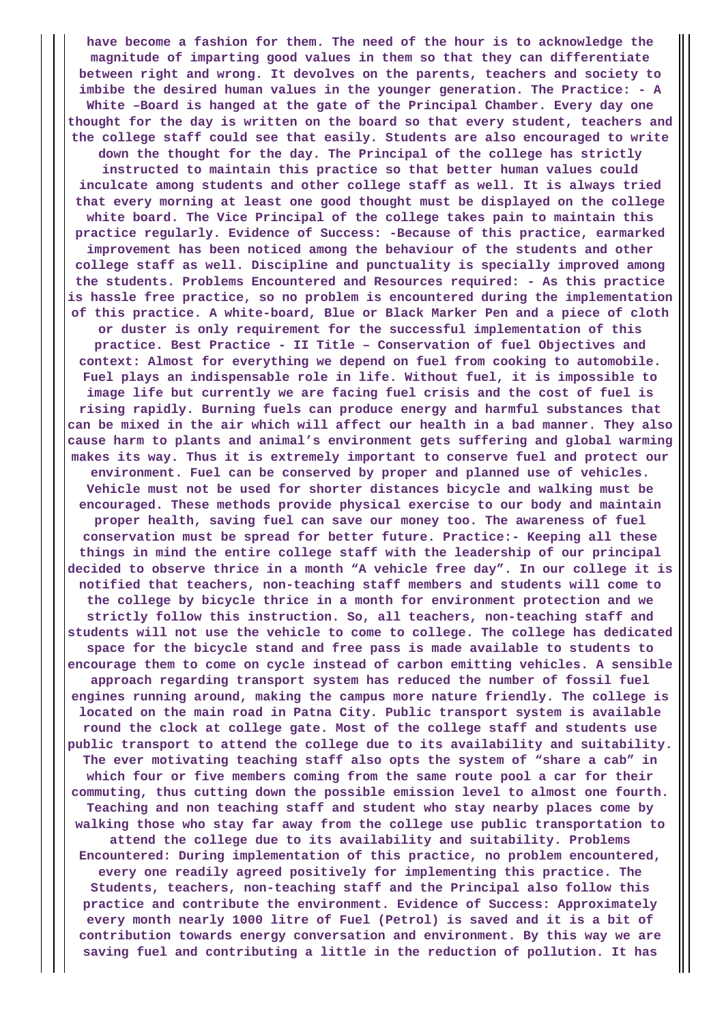**have become a fashion for them. The need of the hour is to acknowledge the magnitude of imparting good values in them so that they can differentiate between right and wrong. It devolves on the parents, teachers and society to imbibe the desired human values in the younger generation. The Practice: - A White –Board is hanged at the gate of the Principal Chamber. Every day one thought for the day is written on the board so that every student, teachers and the college staff could see that easily. Students are also encouraged to write down the thought for the day. The Principal of the college has strictly instructed to maintain this practice so that better human values could inculcate among students and other college staff as well. It is always tried that every morning at least one good thought must be displayed on the college white board. The Vice Principal of the college takes pain to maintain this practice regularly. Evidence of Success: -Because of this practice, earmarked improvement has been noticed among the behaviour of the students and other college staff as well. Discipline and punctuality is specially improved among the students. Problems Encountered and Resources required: - As this practice is hassle free practice, so no problem is encountered during the implementation of this practice. A white-board, Blue or Black Marker Pen and a piece of cloth or duster is only requirement for the successful implementation of this practice. Best Practice - II Title – Conservation of fuel Objectives and context: Almost for everything we depend on fuel from cooking to automobile. Fuel plays an indispensable role in life. Without fuel, it is impossible to image life but currently we are facing fuel crisis and the cost of fuel is rising rapidly. Burning fuels can produce energy and harmful substances that can be mixed in the air which will affect our health in a bad manner. They also cause harm to plants and animal's environment gets suffering and global warming makes its way. Thus it is extremely important to conserve fuel and protect our environment. Fuel can be conserved by proper and planned use of vehicles. Vehicle must not be used for shorter distances bicycle and walking must be encouraged. These methods provide physical exercise to our body and maintain proper health, saving fuel can save our money too. The awareness of fuel conservation must be spread for better future. Practice:- Keeping all these things in mind the entire college staff with the leadership of our principal decided to observe thrice in a month "A vehicle free day". In our college it is notified that teachers, non-teaching staff members and students will come to the college by bicycle thrice in a month for environment protection and we strictly follow this instruction. So, all teachers, non-teaching staff and students will not use the vehicle to come to college. The college has dedicated space for the bicycle stand and free pass is made available to students to encourage them to come on cycle instead of carbon emitting vehicles. A sensible approach regarding transport system has reduced the number of fossil fuel engines running around, making the campus more nature friendly. The college is located on the main road in Patna City. Public transport system is available round the clock at college gate. Most of the college staff and students use public transport to attend the college due to its availability and suitability. The ever motivating teaching staff also opts the system of "share a cab" in which four or five members coming from the same route pool a car for their commuting, thus cutting down the possible emission level to almost one fourth. Teaching and non teaching staff and student who stay nearby places come by walking those who stay far away from the college use public transportation to attend the college due to its availability and suitability. Problems Encountered: During implementation of this practice, no problem encountered, every one readily agreed positively for implementing this practice. The Students, teachers, non-teaching staff and the Principal also follow this practice and contribute the environment. Evidence of Success: Approximately every month nearly 1000 litre of Fuel (Petrol) is saved and it is a bit of contribution towards energy conversation and environment. By this way we are saving fuel and contributing a little in the reduction of pollution. It has**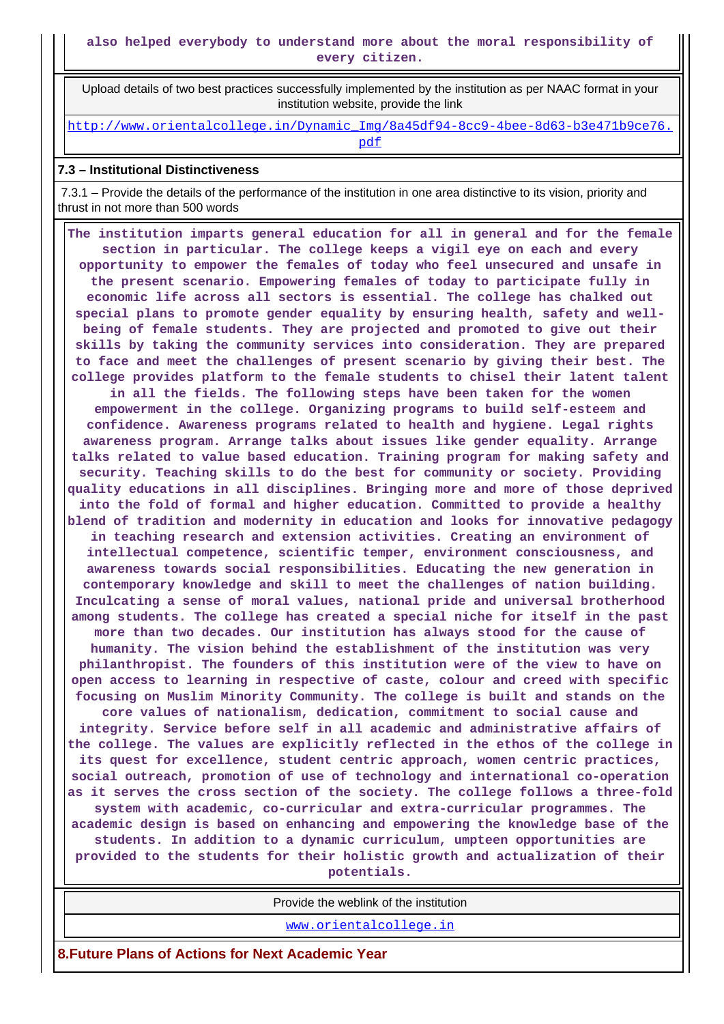Upload details of two best practices successfully implemented by the institution as per NAAC format in your institution website, provide the link

[http://www.orientalcollege.in/Dynamic\\_Img/8a45df94-8cc9-4bee-8d63-b3e471b9ce76.](http://www.orientalcollege.in/Dynamic_Img/8a45df94-8cc9-4bee-8d63-b3e471b9ce76.pdf) [pdf](http://www.orientalcollege.in/Dynamic_Img/8a45df94-8cc9-4bee-8d63-b3e471b9ce76.pdf)

## **7.3 – Institutional Distinctiveness**

 7.3.1 – Provide the details of the performance of the institution in one area distinctive to its vision, priority and thrust in not more than 500 words

 **The institution imparts general education for all in general and for the female section in particular. The college keeps a vigil eye on each and every opportunity to empower the females of today who feel unsecured and unsafe in the present scenario. Empowering females of today to participate fully in economic life across all sectors is essential. The college has chalked out special plans to promote gender equality by ensuring health, safety and wellbeing of female students. They are projected and promoted to give out their skills by taking the community services into consideration. They are prepared to face and meet the challenges of present scenario by giving their best. The college provides platform to the female students to chisel their latent talent in all the fields. The following steps have been taken for the women empowerment in the college. Organizing programs to build self-esteem and confidence. Awareness programs related to health and hygiene. Legal rights awareness program. Arrange talks about issues like gender equality. Arrange talks related to value based education. Training program for making safety and security. Teaching skills to do the best for community or society. Providing quality educations in all disciplines. Bringing more and more of those deprived into the fold of formal and higher education. Committed to provide a healthy blend of tradition and modernity in education and looks for innovative pedagogy in teaching research and extension activities. Creating an environment of intellectual competence, scientific temper, environment consciousness, and awareness towards social responsibilities. Educating the new generation in contemporary knowledge and skill to meet the challenges of nation building. Inculcating a sense of moral values, national pride and universal brotherhood among students. The college has created a special niche for itself in the past more than two decades. Our institution has always stood for the cause of humanity. The vision behind the establishment of the institution was very philanthropist. The founders of this institution were of the view to have on open access to learning in respective of caste, colour and creed with specific focusing on Muslim Minority Community. The college is built and stands on the core values of nationalism, dedication, commitment to social cause and integrity. Service before self in all academic and administrative affairs of the college. The values are explicitly reflected in the ethos of the college in its quest for excellence, student centric approach, women centric practices, social outreach, promotion of use of technology and international co-operation as it serves the cross section of the society. The college follows a three-fold system with academic, co-curricular and extra-curricular programmes. The academic design is based on enhancing and empowering the knowledge base of the students. In addition to a dynamic curriculum, umpteen opportunities are provided to the students for their holistic growth and actualization of their potentials.**

Provide the weblink of the institution

<www.orientalcollege.in>

**8.Future Plans of Actions for Next Academic Year**